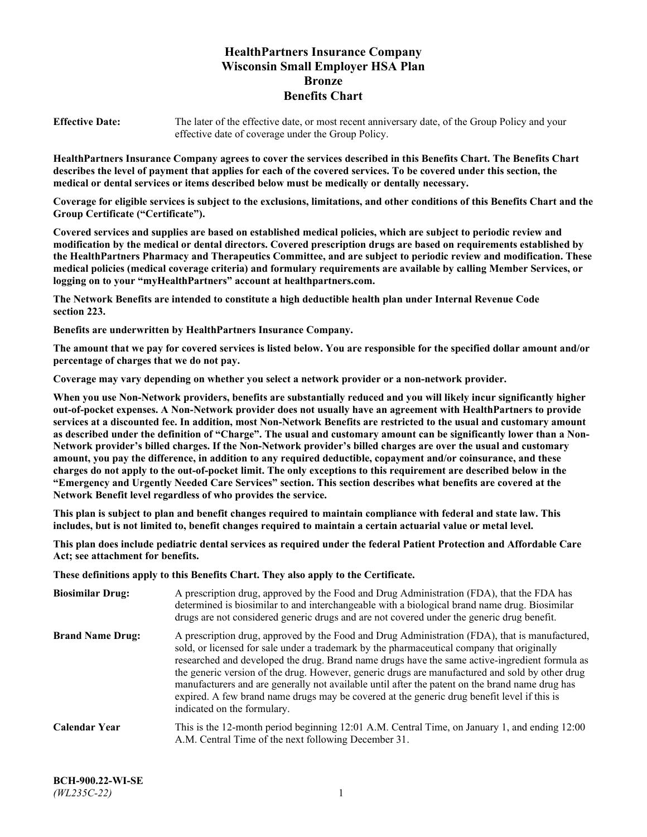# **HealthPartners Insurance Company Wisconsin Small Employer HSA Plan Bronze Benefits Chart**

**Effective Date:** The later of the effective date, or most recent anniversary date, of the Group Policy and your effective date of coverage under the Group Policy.

**HealthPartners Insurance Company agrees to cover the services described in this Benefits Chart. The Benefits Chart describes the level of payment that applies for each of the covered services. To be covered under this section, the medical or dental services or items described below must be medically or dentally necessary.**

**Coverage for eligible services is subject to the exclusions, limitations, and other conditions of this Benefits Chart and the Group Certificate ("Certificate").**

**Covered services and supplies are based on established medical policies, which are subject to periodic review and modification by the medical or dental directors. Covered prescription drugs are based on requirements established by the HealthPartners Pharmacy and Therapeutics Committee, and are subject to periodic review and modification. These medical policies (medical coverage criteria) and formulary requirements are available by calling Member Services, or logging on to your "myHealthPartners" account at [healthpartners.com.](https://www.healthpartners.com/hp/index.html)**

**The Network Benefits are intended to constitute a high deductible health plan under Internal Revenue Code section 223.**

**Benefits are underwritten by HealthPartners Insurance Company.**

**The amount that we pay for covered services is listed below. You are responsible for the specified dollar amount and/or percentage of charges that we do not pay.**

**Coverage may vary depending on whether you select a network provider or a non-network provider.**

**When you use Non-Network providers, benefits are substantially reduced and you will likely incur significantly higher out-of-pocket expenses. A Non-Network provider does not usually have an agreement with HealthPartners to provide services at a discounted fee. In addition, most Non-Network Benefits are restricted to the usual and customary amount as described under the definition of "Charge". The usual and customary amount can be significantly lower than a Non-Network provider's billed charges. If the Non-Network provider's billed charges are over the usual and customary amount, you pay the difference, in addition to any required deductible, copayment and/or coinsurance, and these charges do not apply to the out-of-pocket limit. The only exceptions to this requirement are described below in the "Emergency and Urgently Needed Care Services" section. This section describes what benefits are covered at the Network Benefit level regardless of who provides the service.**

**This plan is subject to plan and benefit changes required to maintain compliance with federal and state law. This includes, but is not limited to, benefit changes required to maintain a certain actuarial value or metal level.**

**This plan does include pediatric dental services as required under the federal Patient Protection and Affordable Care Act; see attachment for benefits.**

**These definitions apply to this Benefits Chart. They also apply to the Certificate.**

| <b>Biosimilar Drug:</b> | A prescription drug, approved by the Food and Drug Administration (FDA), that the FDA has<br>determined is biosimilar to and interchangeable with a biological brand name drug. Biosimilar<br>drugs are not considered generic drugs and are not covered under the generic drug benefit.                                                                                                                                                                                                                                                                                                                                           |
|-------------------------|------------------------------------------------------------------------------------------------------------------------------------------------------------------------------------------------------------------------------------------------------------------------------------------------------------------------------------------------------------------------------------------------------------------------------------------------------------------------------------------------------------------------------------------------------------------------------------------------------------------------------------|
| <b>Brand Name Drug:</b> | A prescription drug, approved by the Food and Drug Administration (FDA), that is manufactured,<br>sold, or licensed for sale under a trademark by the pharmaceutical company that originally<br>researched and developed the drug. Brand name drugs have the same active-ingredient formula as<br>the generic version of the drug. However, generic drugs are manufactured and sold by other drug<br>manufacturers and are generally not available until after the patent on the brand name drug has<br>expired. A few brand name drugs may be covered at the generic drug benefit level if this is<br>indicated on the formulary. |
| <b>Calendar Year</b>    | This is the 12-month period beginning 12:01 A.M. Central Time, on January 1, and ending 12:00<br>A.M. Central Time of the next following December 31.                                                                                                                                                                                                                                                                                                                                                                                                                                                                              |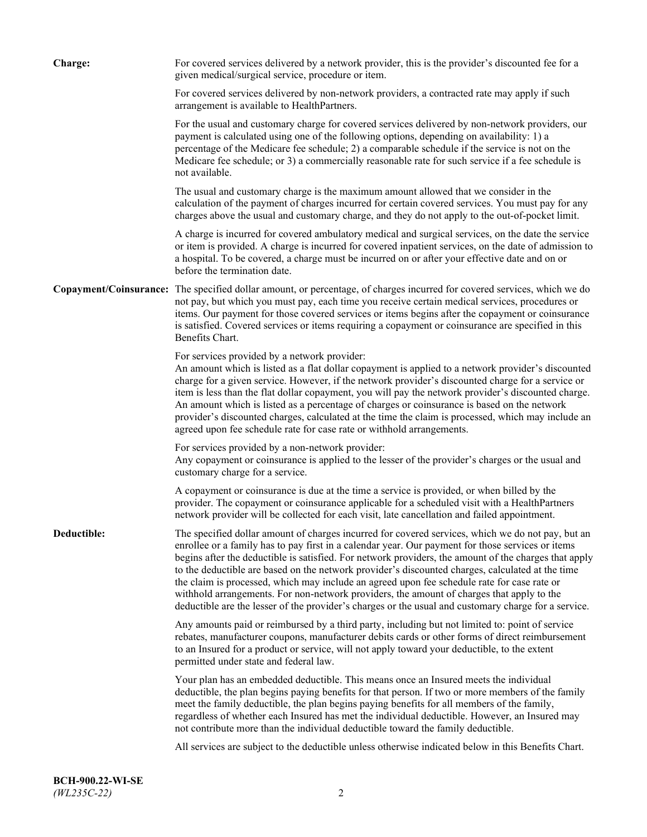| <b>Charge:</b> | For covered services delivered by a network provider, this is the provider's discounted fee for a<br>given medical/surgical service, procedure or item.                                                                                                                                                                                                                                                                                                                                                                                                                                                                                                                                                                 |
|----------------|-------------------------------------------------------------------------------------------------------------------------------------------------------------------------------------------------------------------------------------------------------------------------------------------------------------------------------------------------------------------------------------------------------------------------------------------------------------------------------------------------------------------------------------------------------------------------------------------------------------------------------------------------------------------------------------------------------------------------|
|                | For covered services delivered by non-network providers, a contracted rate may apply if such<br>arrangement is available to HealthPartners.                                                                                                                                                                                                                                                                                                                                                                                                                                                                                                                                                                             |
|                | For the usual and customary charge for covered services delivered by non-network providers, our<br>payment is calculated using one of the following options, depending on availability: 1) a<br>percentage of the Medicare fee schedule; 2) a comparable schedule if the service is not on the<br>Medicare fee schedule; or 3) a commercially reasonable rate for such service if a fee schedule is<br>not available.                                                                                                                                                                                                                                                                                                   |
|                | The usual and customary charge is the maximum amount allowed that we consider in the<br>calculation of the payment of charges incurred for certain covered services. You must pay for any<br>charges above the usual and customary charge, and they do not apply to the out-of-pocket limit.                                                                                                                                                                                                                                                                                                                                                                                                                            |
|                | A charge is incurred for covered ambulatory medical and surgical services, on the date the service<br>or item is provided. A charge is incurred for covered inpatient services, on the date of admission to<br>a hospital. To be covered, a charge must be incurred on or after your effective date and on or<br>before the termination date.                                                                                                                                                                                                                                                                                                                                                                           |
|                | Copayment/Coinsurance: The specified dollar amount, or percentage, of charges incurred for covered services, which we do<br>not pay, but which you must pay, each time you receive certain medical services, procedures or<br>items. Our payment for those covered services or items begins after the copayment or coinsurance<br>is satisfied. Covered services or items requiring a copayment or coinsurance are specified in this<br>Benefits Chart.                                                                                                                                                                                                                                                                 |
|                | For services provided by a network provider:<br>An amount which is listed as a flat dollar copayment is applied to a network provider's discounted<br>charge for a given service. However, if the network provider's discounted charge for a service or<br>item is less than the flat dollar copayment, you will pay the network provider's discounted charge.<br>An amount which is listed as a percentage of charges or coinsurance is based on the network<br>provider's discounted charges, calculated at the time the claim is processed, which may include an<br>agreed upon fee schedule rate for case rate or withhold arrangements.                                                                            |
|                | For services provided by a non-network provider:<br>Any copayment or coinsurance is applied to the lesser of the provider's charges or the usual and<br>customary charge for a service.                                                                                                                                                                                                                                                                                                                                                                                                                                                                                                                                 |
|                | A copayment or coinsurance is due at the time a service is provided, or when billed by the<br>provider. The copayment or coinsurance applicable for a scheduled visit with a HealthPartners<br>network provider will be collected for each visit, late cancellation and failed appointment.                                                                                                                                                                                                                                                                                                                                                                                                                             |
| Deductible:    | The specified dollar amount of charges incurred for covered services, which we do not pay, but an<br>enrollee or a family has to pay first in a calendar year. Our payment for those services or items<br>begins after the deductible is satisfied. For network providers, the amount of the charges that apply<br>to the deductible are based on the network provider's discounted charges, calculated at the time<br>the claim is processed, which may include an agreed upon fee schedule rate for case rate or<br>withhold arrangements. For non-network providers, the amount of charges that apply to the<br>deductible are the lesser of the provider's charges or the usual and customary charge for a service. |
|                | Any amounts paid or reimbursed by a third party, including but not limited to: point of service<br>rebates, manufacturer coupons, manufacturer debits cards or other forms of direct reimbursement<br>to an Insured for a product or service, will not apply toward your deductible, to the extent<br>permitted under state and federal law.                                                                                                                                                                                                                                                                                                                                                                            |
|                | Your plan has an embedded deductible. This means once an Insured meets the individual<br>deductible, the plan begins paying benefits for that person. If two or more members of the family<br>meet the family deductible, the plan begins paying benefits for all members of the family,<br>regardless of whether each Insured has met the individual deductible. However, an Insured may<br>not contribute more than the individual deductible toward the family deductible.                                                                                                                                                                                                                                           |
|                | All services are subject to the deductible unless otherwise indicated below in this Benefits Chart.                                                                                                                                                                                                                                                                                                                                                                                                                                                                                                                                                                                                                     |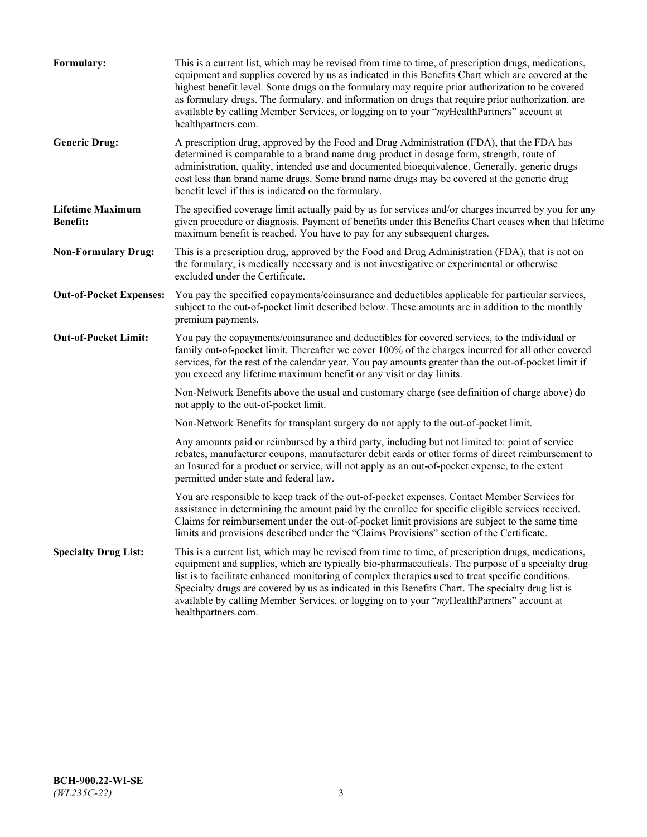| Formulary:                                 | This is a current list, which may be revised from time to time, of prescription drugs, medications,<br>equipment and supplies covered by us as indicated in this Benefits Chart which are covered at the<br>highest benefit level. Some drugs on the formulary may require prior authorization to be covered<br>as formulary drugs. The formulary, and information on drugs that require prior authorization, are<br>available by calling Member Services, or logging on to your "myHealthPartners" account at<br>healthpartners.com. |
|--------------------------------------------|---------------------------------------------------------------------------------------------------------------------------------------------------------------------------------------------------------------------------------------------------------------------------------------------------------------------------------------------------------------------------------------------------------------------------------------------------------------------------------------------------------------------------------------|
| <b>Generic Drug:</b>                       | A prescription drug, approved by the Food and Drug Administration (FDA), that the FDA has<br>determined is comparable to a brand name drug product in dosage form, strength, route of<br>administration, quality, intended use and documented bioequivalence. Generally, generic drugs<br>cost less than brand name drugs. Some brand name drugs may be covered at the generic drug<br>benefit level if this is indicated on the formulary.                                                                                           |
| <b>Lifetime Maximum</b><br><b>Benefit:</b> | The specified coverage limit actually paid by us for services and/or charges incurred by you for any<br>given procedure or diagnosis. Payment of benefits under this Benefits Chart ceases when that lifetime<br>maximum benefit is reached. You have to pay for any subsequent charges.                                                                                                                                                                                                                                              |
| <b>Non-Formulary Drug:</b>                 | This is a prescription drug, approved by the Food and Drug Administration (FDA), that is not on<br>the formulary, is medically necessary and is not investigative or experimental or otherwise<br>excluded under the Certificate.                                                                                                                                                                                                                                                                                                     |
| <b>Out-of-Pocket Expenses:</b>             | You pay the specified copayments/coinsurance and deductibles applicable for particular services,<br>subject to the out-of-pocket limit described below. These amounts are in addition to the monthly<br>premium payments.                                                                                                                                                                                                                                                                                                             |
| <b>Out-of-Pocket Limit:</b>                | You pay the copayments/coinsurance and deductibles for covered services, to the individual or<br>family out-of-pocket limit. Thereafter we cover 100% of the charges incurred for all other covered<br>services, for the rest of the calendar year. You pay amounts greater than the out-of-pocket limit if<br>you exceed any lifetime maximum benefit or any visit or day limits.                                                                                                                                                    |
|                                            | Non-Network Benefits above the usual and customary charge (see definition of charge above) do<br>not apply to the out-of-pocket limit.                                                                                                                                                                                                                                                                                                                                                                                                |
|                                            | Non-Network Benefits for transplant surgery do not apply to the out-of-pocket limit.                                                                                                                                                                                                                                                                                                                                                                                                                                                  |
|                                            | Any amounts paid or reimbursed by a third party, including but not limited to: point of service<br>rebates, manufacturer coupons, manufacturer debit cards or other forms of direct reimbursement to<br>an Insured for a product or service, will not apply as an out-of-pocket expense, to the extent<br>permitted under state and federal law.                                                                                                                                                                                      |
|                                            | You are responsible to keep track of the out-of-pocket expenses. Contact Member Services for<br>assistance in determining the amount paid by the enrollee for specific eligible services received.<br>Claims for reimbursement under the out-of-pocket limit provisions are subject to the same time<br>limits and provisions described under the "Claims Provisions" section of the Certificate.                                                                                                                                     |
| <b>Specialty Drug List:</b>                | This is a current list, which may be revised from time to time, of prescription drugs, medications,<br>equipment and supplies, which are typically bio-pharmaceuticals. The purpose of a specialty drug<br>list is to facilitate enhanced monitoring of complex therapies used to treat specific conditions.<br>Specialty drugs are covered by us as indicated in this Benefits Chart. The specialty drug list is<br>available by calling Member Services, or logging on to your "myHealthPartners" account at<br>healthpartners.com. |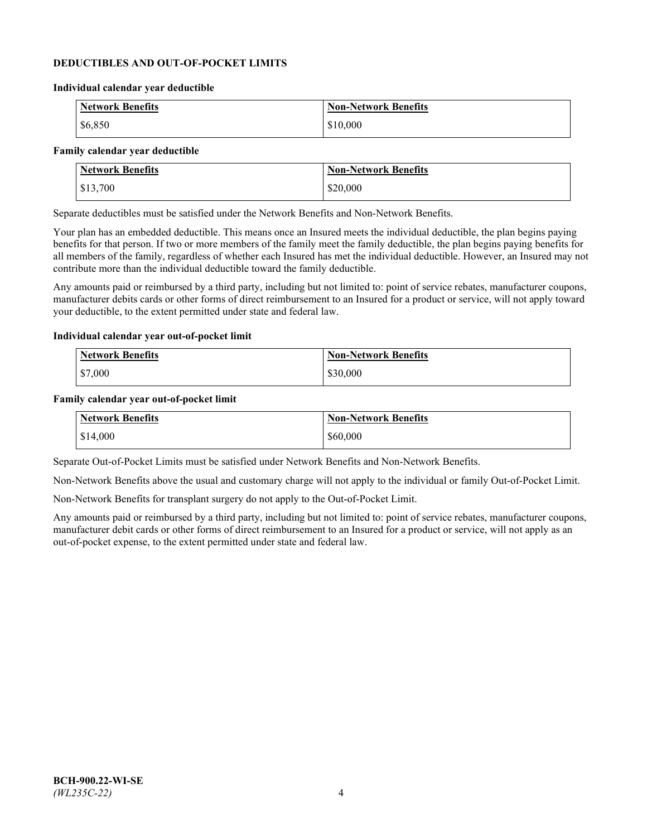### **DEDUCTIBLES AND OUT-OF-POCKET LIMITS**

#### **Individual calendar year deductible**

| <b>Network Benefits</b> | <b>Non-Network Benefits</b> |
|-------------------------|-----------------------------|
| \$6,850                 | \$10,000                    |

#### **Family calendar year deductible**

| <b>Network Benefits</b> | <b>Non-Network Benefits</b> |
|-------------------------|-----------------------------|
| \$13,700                | \$20,000                    |

Separate deductibles must be satisfied under the Network Benefits and Non-Network Benefits.

Your plan has an embedded deductible. This means once an Insured meets the individual deductible, the plan begins paying benefits for that person. If two or more members of the family meet the family deductible, the plan begins paying benefits for all members of the family, regardless of whether each Insured has met the individual deductible. However, an Insured may not contribute more than the individual deductible toward the family deductible.

Any amounts paid or reimbursed by a third party, including but not limited to: point of service rebates, manufacturer coupons, manufacturer debits cards or other forms of direct reimbursement to an Insured for a product or service, will not apply toward your deductible, to the extent permitted under state and federal law.

### **Individual calendar year out-of-pocket limit**

| Network Benefits | <b>Non-Network Benefits</b> |
|------------------|-----------------------------|
| \$7,000          | \$30,000                    |

#### **Family calendar year out-of-pocket limit**

| <b>Network Benefits</b> | <b>Non-Network Benefits</b> |
|-------------------------|-----------------------------|
| \$14,000                | \$60,000                    |

Separate Out-of-Pocket Limits must be satisfied under Network Benefits and Non-Network Benefits.

Non-Network Benefits above the usual and customary charge will not apply to the individual or family Out-of-Pocket Limit.

Non-Network Benefits for transplant surgery do not apply to the Out-of-Pocket Limit.

Any amounts paid or reimbursed by a third party, including but not limited to: point of service rebates, manufacturer coupons, manufacturer debit cards or other forms of direct reimbursement to an Insured for a product or service, will not apply as an out-of-pocket expense, to the extent permitted under state and federal law.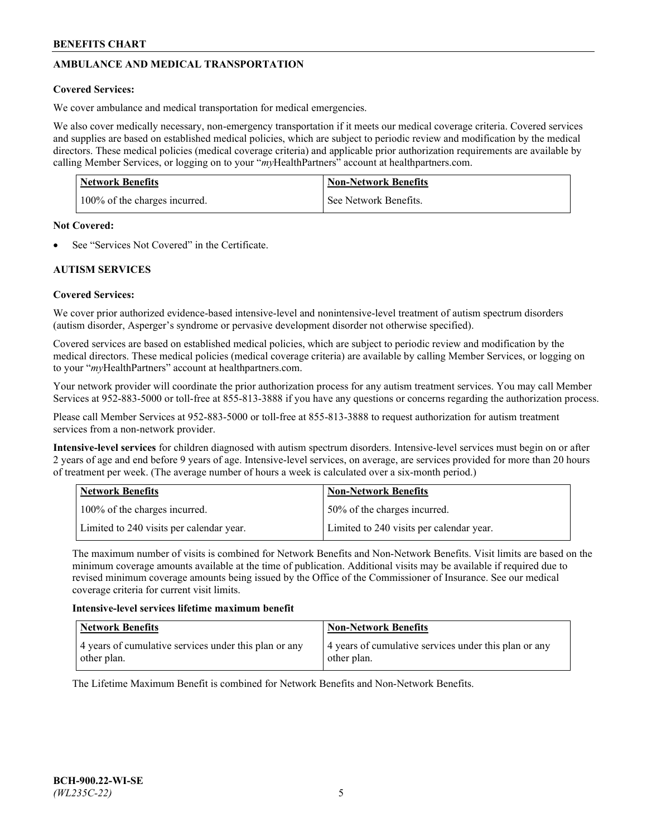# **AMBULANCE AND MEDICAL TRANSPORTATION**

# **Covered Services:**

We cover ambulance and medical transportation for medical emergencies.

We also cover medically necessary, non-emergency transportation if it meets our medical coverage criteria. Covered services and supplies are based on established medical policies, which are subject to periodic review and modification by the medical directors. These medical policies (medical coverage criteria) and applicable prior authorization requirements are available by calling Member Services, or logging on to your "*my*HealthPartners" account a[t healthpartners.com.](https://www.healthpartners.com/hp/index.html)

| <b>Network Benefits</b>       | <b>Non-Network Benefits</b> |
|-------------------------------|-----------------------------|
| 100% of the charges incurred. | See Network Benefits.       |

## **Not Covered:**

See "Services Not Covered" in the Certificate.

# **AUTISM SERVICES**

# **Covered Services:**

We cover prior authorized evidence-based intensive-level and nonintensive-level treatment of autism spectrum disorders (autism disorder, Asperger's syndrome or pervasive development disorder not otherwise specified).

Covered services are based on established medical policies, which are subject to periodic review and modification by the medical directors. These medical policies (medical coverage criteria) are available by calling Member Services, or logging on to your "*my*HealthPartners" account at [healthpartners.com.](https://www.healthpartners.com/hp/index.html)

Your network provider will coordinate the prior authorization process for any autism treatment services. You may call Member Services at 952-883-5000 or toll-free at 855-813-3888 if you have any questions or concerns regarding the authorization process.

Please call Member Services at 952-883-5000 or toll-free at 855-813-3888 to request authorization for autism treatment services from a non-network provider.

**Intensive-level services** for children diagnosed with autism spectrum disorders. Intensive-level services must begin on or after 2 years of age and end before 9 years of age. Intensive-level services, on average, are services provided for more than 20 hours of treatment per week. (The average number of hours a week is calculated over a six-month period.)

| Network Benefits                         | <b>Non-Network Benefits</b>              |
|------------------------------------------|------------------------------------------|
| 100% of the charges incurred.            | 50% of the charges incurred.             |
| Limited to 240 visits per calendar year. | Limited to 240 visits per calendar year. |

The maximum number of visits is combined for Network Benefits and Non-Network Benefits. Visit limits are based on the minimum coverage amounts available at the time of publication. Additional visits may be available if required due to revised minimum coverage amounts being issued by the Office of the Commissioner of Insurance. See our medical coverage criteria for current visit limits.

## **Intensive-level services lifetime maximum benefit**

| Network Benefits                                                     | <b>Non-Network Benefits</b>                                          |
|----------------------------------------------------------------------|----------------------------------------------------------------------|
| 4 years of cumulative services under this plan or any<br>other plan. | 4 years of cumulative services under this plan or any<br>other plan. |

The Lifetime Maximum Benefit is combined for Network Benefits and Non-Network Benefits.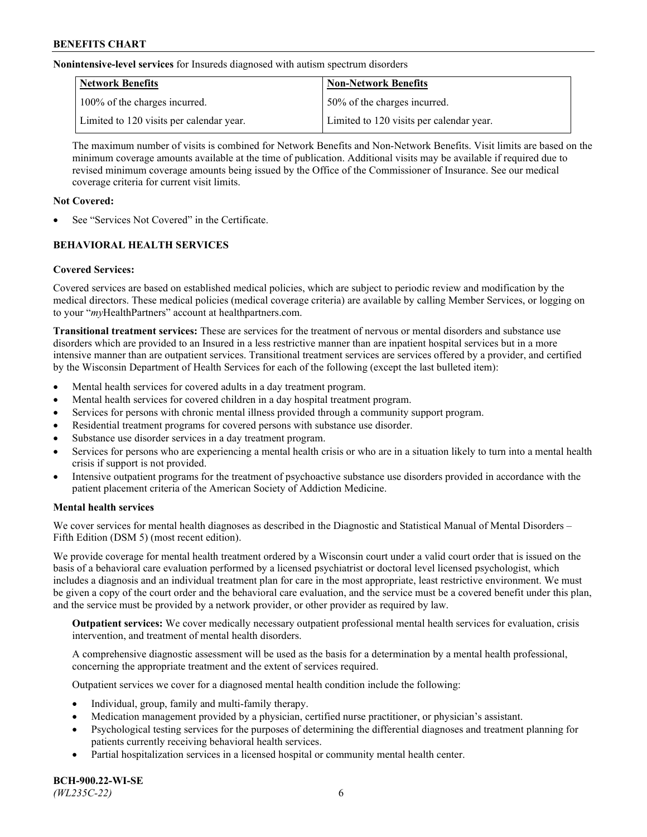**Nonintensive-level services** for Insureds diagnosed with autism spectrum disorders

| Network Benefits                         | <b>Non-Network Benefits</b>              |
|------------------------------------------|------------------------------------------|
| 100% of the charges incurred.            | 50% of the charges incurred.             |
| Limited to 120 visits per calendar year. | Limited to 120 visits per calendar year. |

The maximum number of visits is combined for Network Benefits and Non-Network Benefits. Visit limits are based on the minimum coverage amounts available at the time of publication. Additional visits may be available if required due to revised minimum coverage amounts being issued by the Office of the Commissioner of Insurance. See our medical coverage criteria for current visit limits.

## **Not Covered:**

See "Services Not Covered" in the Certificate.

# **BEHAVIORAL HEALTH SERVICES**

## **Covered Services:**

Covered services are based on established medical policies, which are subject to periodic review and modification by the medical directors. These medical policies (medical coverage criteria) are available by calling Member Services, or logging on to your "*my*HealthPartners" account at [healthpartners.com.](https://www.healthpartners.com/hp/index.html)

**Transitional treatment services:** These are services for the treatment of nervous or mental disorders and substance use disorders which are provided to an Insured in a less restrictive manner than are inpatient hospital services but in a more intensive manner than are outpatient services. Transitional treatment services are services offered by a provider, and certified by the Wisconsin Department of Health Services for each of the following (except the last bulleted item):

- Mental health services for covered adults in a day treatment program.
- Mental health services for covered children in a day hospital treatment program.
- Services for persons with chronic mental illness provided through a community support program.
- Residential treatment programs for covered persons with substance use disorder.
- Substance use disorder services in a day treatment program.
- Services for persons who are experiencing a mental health crisis or who are in a situation likely to turn into a mental health crisis if support is not provided.
- Intensive outpatient programs for the treatment of psychoactive substance use disorders provided in accordance with the patient placement criteria of the American Society of Addiction Medicine.

## **Mental health services**

We cover services for mental health diagnoses as described in the Diagnostic and Statistical Manual of Mental Disorders – Fifth Edition (DSM 5) (most recent edition).

We provide coverage for mental health treatment ordered by a Wisconsin court under a valid court order that is issued on the basis of a behavioral care evaluation performed by a licensed psychiatrist or doctoral level licensed psychologist, which includes a diagnosis and an individual treatment plan for care in the most appropriate, least restrictive environment. We must be given a copy of the court order and the behavioral care evaluation, and the service must be a covered benefit under this plan, and the service must be provided by a network provider, or other provider as required by law.

**Outpatient services:** We cover medically necessary outpatient professional mental health services for evaluation, crisis intervention, and treatment of mental health disorders.

A comprehensive diagnostic assessment will be used as the basis for a determination by a mental health professional, concerning the appropriate treatment and the extent of services required.

Outpatient services we cover for a diagnosed mental health condition include the following:

- Individual, group, family and multi-family therapy.
- Medication management provided by a physician, certified nurse practitioner, or physician's assistant.
- Psychological testing services for the purposes of determining the differential diagnoses and treatment planning for patients currently receiving behavioral health services.
- Partial hospitalization services in a licensed hospital or community mental health center.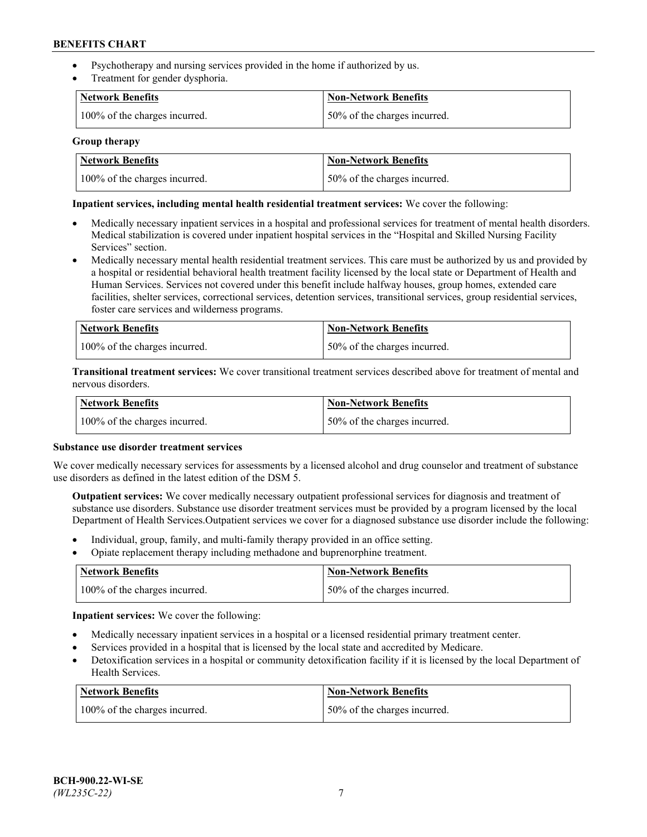- Psychotherapy and nursing services provided in the home if authorized by us.
- Treatment for gender dysphoria.

| <b>Network Benefits</b>       | <b>Non-Network Benefits</b>  |
|-------------------------------|------------------------------|
| 100% of the charges incurred. | 50% of the charges incurred. |

### **Group therapy**

| Network Benefits              | Non-Network Benefits          |
|-------------------------------|-------------------------------|
| 100% of the charges incurred. | 150% of the charges incurred. |

## **Inpatient services, including mental health residential treatment services:** We cover the following:

- Medically necessary inpatient services in a hospital and professional services for treatment of mental health disorders. Medical stabilization is covered under inpatient hospital services in the "Hospital and Skilled Nursing Facility Services" section.
- Medically necessary mental health residential treatment services. This care must be authorized by us and provided by a hospital or residential behavioral health treatment facility licensed by the local state or Department of Health and Human Services. Services not covered under this benefit include halfway houses, group homes, extended care facilities, shelter services, correctional services, detention services, transitional services, group residential services, foster care services and wilderness programs.

| <b>Network Benefits</b>       | Non-Network Benefits         |
|-------------------------------|------------------------------|
| 100% of the charges incurred. | 50% of the charges incurred. |

**Transitional treatment services:** We cover transitional treatment services described above for treatment of mental and nervous disorders.

| <b>Network Benefits</b>       | <b>Non-Network Benefits</b>  |
|-------------------------------|------------------------------|
| 100% of the charges incurred. | 50% of the charges incurred. |

#### **Substance use disorder treatment services**

We cover medically necessary services for assessments by a licensed alcohol and drug counselor and treatment of substance use disorders as defined in the latest edition of the DSM 5.

**Outpatient services:** We cover medically necessary outpatient professional services for diagnosis and treatment of substance use disorders. Substance use disorder treatment services must be provided by a program licensed by the local Department of Health Services.Outpatient services we cover for a diagnosed substance use disorder include the following:

- Individual, group, family, and multi-family therapy provided in an office setting.
- Opiate replacement therapy including methadone and buprenorphine treatment.

| Network Benefits              | Non-Network Benefits         |
|-------------------------------|------------------------------|
| 100% of the charges incurred. | 50% of the charges incurred. |

**Inpatient services:** We cover the following:

- Medically necessary inpatient services in a hospital or a licensed residential primary treatment center.
- Services provided in a hospital that is licensed by the local state and accredited by Medicare.
- Detoxification services in a hospital or community detoxification facility if it is licensed by the local Department of Health Services.

| Network Benefits              | <b>Non-Network Benefits</b>  |
|-------------------------------|------------------------------|
| 100% of the charges incurred. | 50% of the charges incurred. |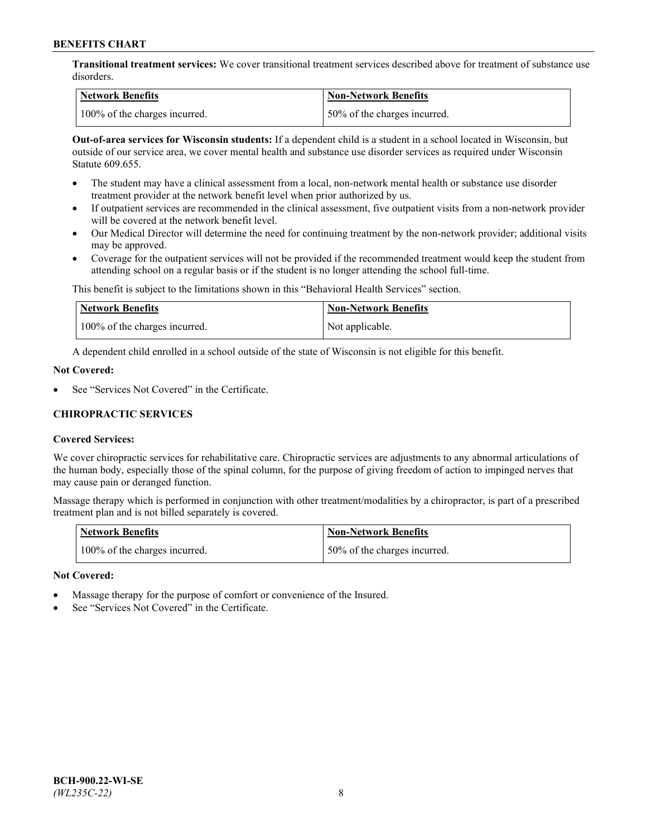**Transitional treatment services:** We cover transitional treatment services described above for treatment of substance use disorders.

| Network Benefits              | <b>Non-Network Benefits</b>   |
|-------------------------------|-------------------------------|
| 100% of the charges incurred. | 150% of the charges incurred. |

**Out-of-area services for Wisconsin students:** If a dependent child is a student in a school located in Wisconsin, but outside of our service area, we cover mental health and substance use disorder services as required under Wisconsin Statute 609.655.

- The student may have a clinical assessment from a local, non-network mental health or substance use disorder treatment provider at the network benefit level when prior authorized by us.
- If outpatient services are recommended in the clinical assessment, five outpatient visits from a non-network provider will be covered at the network benefit level.
- Our Medical Director will determine the need for continuing treatment by the non-network provider; additional visits may be approved.
- Coverage for the outpatient services will not be provided if the recommended treatment would keep the student from attending school on a regular basis or if the student is no longer attending the school full-time.

This benefit is subject to the limitations shown in this "Behavioral Health Services" section.

| Network Benefits              | Non-Network Benefits |
|-------------------------------|----------------------|
| 100% of the charges incurred. | Not applicable.      |

A dependent child enrolled in a school outside of the state of Wisconsin is not eligible for this benefit.

## **Not Covered:**

See "Services Not Covered" in the Certificate.

## **CHIROPRACTIC SERVICES**

## **Covered Services:**

We cover chiropractic services for rehabilitative care. Chiropractic services are adjustments to any abnormal articulations of the human body, especially those of the spinal column, for the purpose of giving freedom of action to impinged nerves that may cause pain or deranged function.

Massage therapy which is performed in conjunction with other treatment/modalities by a chiropractor, is part of a prescribed treatment plan and is not billed separately is covered.

| <b>Network Benefits</b>       | <b>Non-Network Benefits</b>  |
|-------------------------------|------------------------------|
| 100% of the charges incurred. | 50% of the charges incurred. |

#### **Not Covered:**

- Massage therapy for the purpose of comfort or convenience of the Insured.
- See "Services Not Covered" in the Certificate.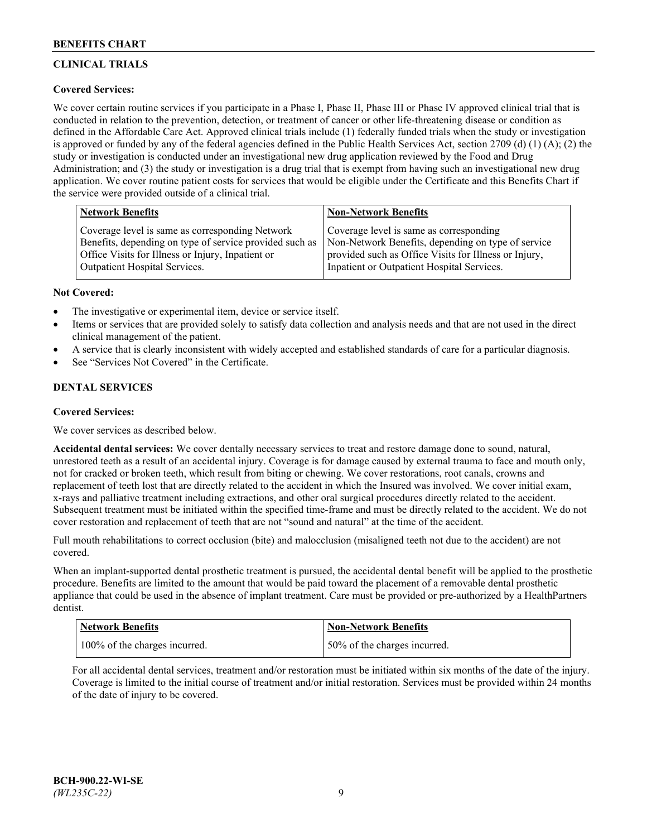# **CLINICAL TRIALS**

## **Covered Services:**

We cover certain routine services if you participate in a Phase I, Phase II, Phase III or Phase IV approved clinical trial that is conducted in relation to the prevention, detection, or treatment of cancer or other life-threatening disease or condition as defined in the Affordable Care Act. Approved clinical trials include (1) federally funded trials when the study or investigation is approved or funded by any of the federal agencies defined in the Public Health Services Act, section 2709 (d) (1) (A); (2) the study or investigation is conducted under an investigational new drug application reviewed by the Food and Drug Administration; and (3) the study or investigation is a drug trial that is exempt from having such an investigational new drug application. We cover routine patient costs for services that would be eligible under the Certificate and this Benefits Chart if the service were provided outside of a clinical trial.

| <b>Network Benefits</b>                                 | <b>Non-Network Benefits</b>                           |
|---------------------------------------------------------|-------------------------------------------------------|
| Coverage level is same as corresponding Network         | Coverage level is same as corresponding               |
| Benefits, depending on type of service provided such as | Non-Network Benefits, depending on type of service    |
| Office Visits for Illness or Injury, Inpatient or       | provided such as Office Visits for Illness or Injury, |
| Outpatient Hospital Services.                           | Inpatient or Outpatient Hospital Services.            |

### **Not Covered:**

- The investigative or experimental item, device or service itself.
- Items or services that are provided solely to satisfy data collection and analysis needs and that are not used in the direct clinical management of the patient.
- A service that is clearly inconsistent with widely accepted and established standards of care for a particular diagnosis.
- See "Services Not Covered" in the Certificate.

# **DENTAL SERVICES**

## **Covered Services:**

We cover services as described below.

**Accidental dental services:** We cover dentally necessary services to treat and restore damage done to sound, natural, unrestored teeth as a result of an accidental injury. Coverage is for damage caused by external trauma to face and mouth only, not for cracked or broken teeth, which result from biting or chewing. We cover restorations, root canals, crowns and replacement of teeth lost that are directly related to the accident in which the Insured was involved. We cover initial exam, x-rays and palliative treatment including extractions, and other oral surgical procedures directly related to the accident. Subsequent treatment must be initiated within the specified time-frame and must be directly related to the accident. We do not cover restoration and replacement of teeth that are not "sound and natural" at the time of the accident.

Full mouth rehabilitations to correct occlusion (bite) and malocclusion (misaligned teeth not due to the accident) are not covered.

When an implant-supported dental prosthetic treatment is pursued, the accidental dental benefit will be applied to the prosthetic procedure. Benefits are limited to the amount that would be paid toward the placement of a removable dental prosthetic appliance that could be used in the absence of implant treatment. Care must be provided or pre-authorized by a HealthPartners dentist.

| Network Benefits              | <b>Non-Network Benefits</b>  |
|-------------------------------|------------------------------|
| 100% of the charges incurred. | 50% of the charges incurred. |

For all accidental dental services, treatment and/or restoration must be initiated within six months of the date of the injury. Coverage is limited to the initial course of treatment and/or initial restoration. Services must be provided within 24 months of the date of injury to be covered.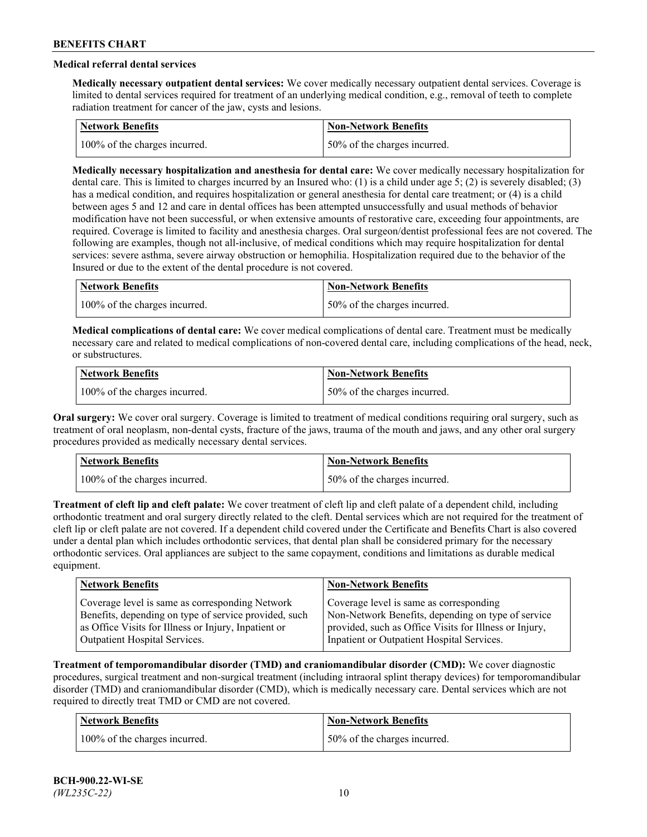# **Medical referral dental services**

**Medically necessary outpatient dental services:** We cover medically necessary outpatient dental services. Coverage is limited to dental services required for treatment of an underlying medical condition, e.g., removal of teeth to complete radiation treatment for cancer of the jaw, cysts and lesions.

| <b>Network Benefits</b>       | <b>Non-Network Benefits</b>   |
|-------------------------------|-------------------------------|
| 100% of the charges incurred. | 150% of the charges incurred. |

**Medically necessary hospitalization and anesthesia for dental care:** We cover medically necessary hospitalization for dental care. This is limited to charges incurred by an Insured who: (1) is a child under age 5; (2) is severely disabled; (3) has a medical condition, and requires hospitalization or general anesthesia for dental care treatment; or (4) is a child between ages 5 and 12 and care in dental offices has been attempted unsuccessfully and usual methods of behavior modification have not been successful, or when extensive amounts of restorative care, exceeding four appointments, are required. Coverage is limited to facility and anesthesia charges. Oral surgeon/dentist professional fees are not covered. The following are examples, though not all-inclusive, of medical conditions which may require hospitalization for dental services: severe asthma, severe airway obstruction or hemophilia. Hospitalization required due to the behavior of the Insured or due to the extent of the dental procedure is not covered.

| Network Benefits              | <b>Non-Network Benefits</b>  |
|-------------------------------|------------------------------|
| 100% of the charges incurred. | 50% of the charges incurred. |

**Medical complications of dental care:** We cover medical complications of dental care. Treatment must be medically necessary care and related to medical complications of non-covered dental care, including complications of the head, neck, or substructures.

| Network Benefits              | Non-Network Benefits         |
|-------------------------------|------------------------------|
| 100% of the charges incurred. | 50% of the charges incurred. |

**Oral surgery:** We cover oral surgery. Coverage is limited to treatment of medical conditions requiring oral surgery, such as treatment of oral neoplasm, non-dental cysts, fracture of the jaws, trauma of the mouth and jaws, and any other oral surgery procedures provided as medically necessary dental services.

| Network Benefits              | <b>Non-Network Benefits</b>   |
|-------------------------------|-------------------------------|
| 100% of the charges incurred. | 150% of the charges incurred. |

**Treatment of cleft lip and cleft palate:** We cover treatment of cleft lip and cleft palate of a dependent child, including orthodontic treatment and oral surgery directly related to the cleft. Dental services which are not required for the treatment of cleft lip or cleft palate are not covered. If a dependent child covered under the Certificate and Benefits Chart is also covered under a dental plan which includes orthodontic services, that dental plan shall be considered primary for the necessary orthodontic services. Oral appliances are subject to the same copayment, conditions and limitations as durable medical equipment.

| <b>Network Benefits</b>                               | <b>Non-Network Benefits</b>                            |
|-------------------------------------------------------|--------------------------------------------------------|
| Coverage level is same as corresponding Network       | Coverage level is same as corresponding                |
| Benefits, depending on type of service provided, such | Non-Network Benefits, depending on type of service     |
| as Office Visits for Illness or Injury, Inpatient or  | provided, such as Office Visits for Illness or Injury, |
| Outpatient Hospital Services.                         | Inpatient or Outpatient Hospital Services.             |

**Treatment of temporomandibular disorder (TMD) and craniomandibular disorder (CMD):** We cover diagnostic procedures, surgical treatment and non-surgical treatment (including intraoral splint therapy devices) for temporomandibular disorder (TMD) and craniomandibular disorder (CMD), which is medically necessary care. Dental services which are not required to directly treat TMD or CMD are not covered.

| <b>Network Benefits</b>       | <b>Non-Network Benefits</b>  |
|-------------------------------|------------------------------|
| 100% of the charges incurred. | 50% of the charges incurred. |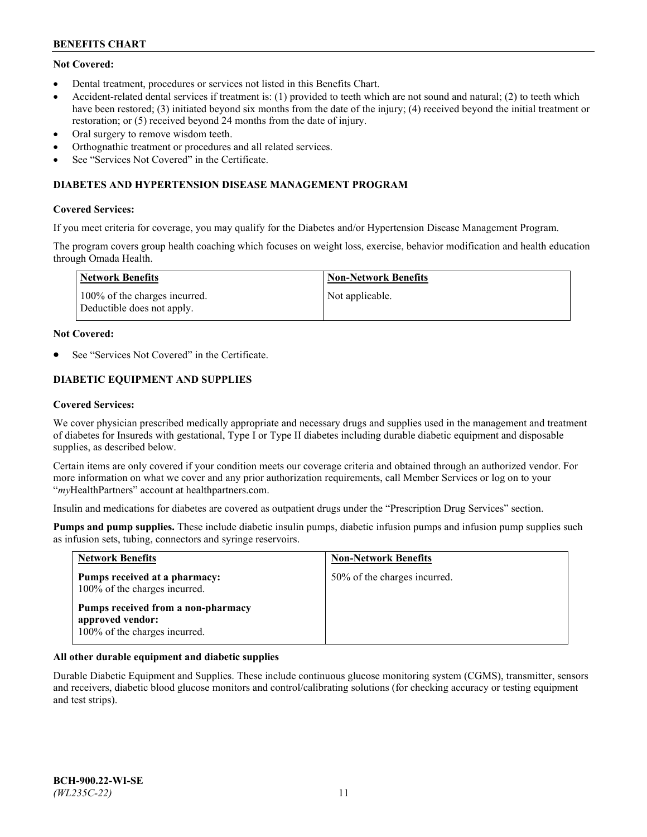# **Not Covered:**

- Dental treatment, procedures or services not listed in this Benefits Chart.
- Accident-related dental services if treatment is: (1) provided to teeth which are not sound and natural; (2) to teeth which have been restored; (3) initiated beyond six months from the date of the injury; (4) received beyond the initial treatment or restoration; or (5) received beyond 24 months from the date of injury.
- Oral surgery to remove wisdom teeth.
- Orthognathic treatment or procedures and all related services.
- See "Services Not Covered" in the Certificate.

## **DIABETES AND HYPERTENSION DISEASE MANAGEMENT PROGRAM**

### **Covered Services:**

If you meet criteria for coverage, you may qualify for the Diabetes and/or Hypertension Disease Management Program.

The program covers group health coaching which focuses on weight loss, exercise, behavior modification and health education through Omada Health.

| Network Benefits                                            | Non-Network Benefits |
|-------------------------------------------------------------|----------------------|
| 100% of the charges incurred.<br>Deductible does not apply. | Not applicable.      |

#### **Not Covered:**

See "Services Not Covered" in the Certificate.

# **DIABETIC EQUIPMENT AND SUPPLIES**

### **Covered Services:**

We cover physician prescribed medically appropriate and necessary drugs and supplies used in the management and treatment of diabetes for Insureds with gestational, Type I or Type II diabetes including durable diabetic equipment and disposable supplies, as described below.

Certain items are only covered if your condition meets our coverage criteria and obtained through an authorized vendor. For more information on what we cover and any prior authorization requirements, call Member Services or log on to your "*my*HealthPartners" account at [healthpartners.com.](http://www.healthpartners.com/)

Insulin and medications for diabetes are covered as outpatient drugs under the "Prescription Drug Services" section.

**Pumps and pump supplies.** These include diabetic insulin pumps, diabetic infusion pumps and infusion pump supplies such as infusion sets, tubing, connectors and syringe reservoirs.

| <b>Network Benefits</b>                                                                 | <b>Non-Network Benefits</b>  |
|-----------------------------------------------------------------------------------------|------------------------------|
| Pumps received at a pharmacy:<br>100% of the charges incurred.                          | 50% of the charges incurred. |
| Pumps received from a non-pharmacy<br>approved vendor:<br>100% of the charges incurred. |                              |

## **All other durable equipment and diabetic supplies**

Durable Diabetic Equipment and Supplies. These include continuous glucose monitoring system (CGMS), transmitter, sensors and receivers, diabetic blood glucose monitors and control/calibrating solutions (for checking accuracy or testing equipment and test strips).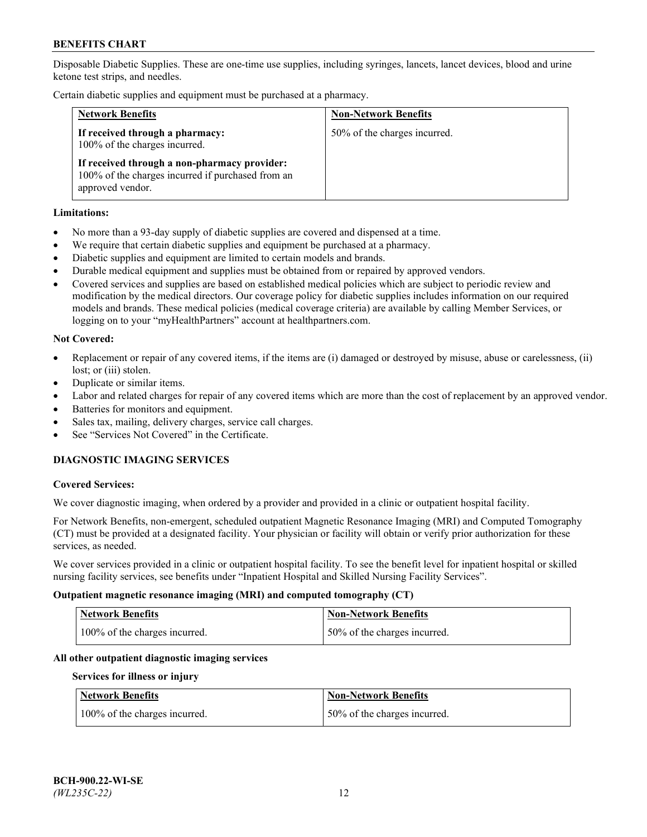Disposable Diabetic Supplies. These are one-time use supplies, including syringes, lancets, lancet devices, blood and urine ketone test strips, and needles.

Certain diabetic supplies and equipment must be purchased at a pharmacy.

| <b>Network Benefits</b>                                                                                               | <b>Non-Network Benefits</b>  |
|-----------------------------------------------------------------------------------------------------------------------|------------------------------|
| If received through a pharmacy:<br>100% of the charges incurred.                                                      | 50% of the charges incurred. |
| If received through a non-pharmacy provider:<br>100% of the charges incurred if purchased from an<br>approved vendor. |                              |

### **Limitations:**

- No more than a 93-day supply of diabetic supplies are covered and dispensed at a time.
- We require that certain diabetic supplies and equipment be purchased at a pharmacy.
- Diabetic supplies and equipment are limited to certain models and brands.
- Durable medical equipment and supplies must be obtained from or repaired by approved vendors.
- Covered services and supplies are based on established medical policies which are subject to periodic review and modification by the medical directors. Our coverage policy for diabetic supplies includes information on our required models and brands. These medical policies (medical coverage criteria) are available by calling Member Services, or logging on to your "myHealthPartners" account at [healthpartners.com.](http://www.healthpartners.com/)

### **Not Covered:**

- Replacement or repair of any covered items, if the items are (i) damaged or destroyed by misuse, abuse or carelessness, (ii) lost; or (iii) stolen.
- Duplicate or similar items.
- Labor and related charges for repair of any covered items which are more than the cost of replacement by an approved vendor.
- Batteries for monitors and equipment.
- Sales tax, mailing, delivery charges, service call charges.
- See "Services Not Covered" in the Certificate.

# **DIAGNOSTIC IMAGING SERVICES**

#### **Covered Services:**

We cover diagnostic imaging, when ordered by a provider and provided in a clinic or outpatient hospital facility.

For Network Benefits, non-emergent, scheduled outpatient Magnetic Resonance Imaging (MRI) and Computed Tomography (CT) must be provided at a designated facility. Your physician or facility will obtain or verify prior authorization for these services, as needed.

We cover services provided in a clinic or outpatient hospital facility. To see the benefit level for inpatient hospital or skilled nursing facility services, see benefits under "Inpatient Hospital and Skilled Nursing Facility Services".

#### **Outpatient magnetic resonance imaging (MRI) and computed tomography (CT)**

| <b>Network Benefits</b>       | <b>Non-Network Benefits</b>   |
|-------------------------------|-------------------------------|
| 100% of the charges incurred. | 150% of the charges incurred. |

## **All other outpatient diagnostic imaging services**

#### **Services for illness or injury**

| <b>Network Benefits</b>       | <b>Non-Network Benefits</b>  |
|-------------------------------|------------------------------|
| 100% of the charges incurred. | 50% of the charges incurred. |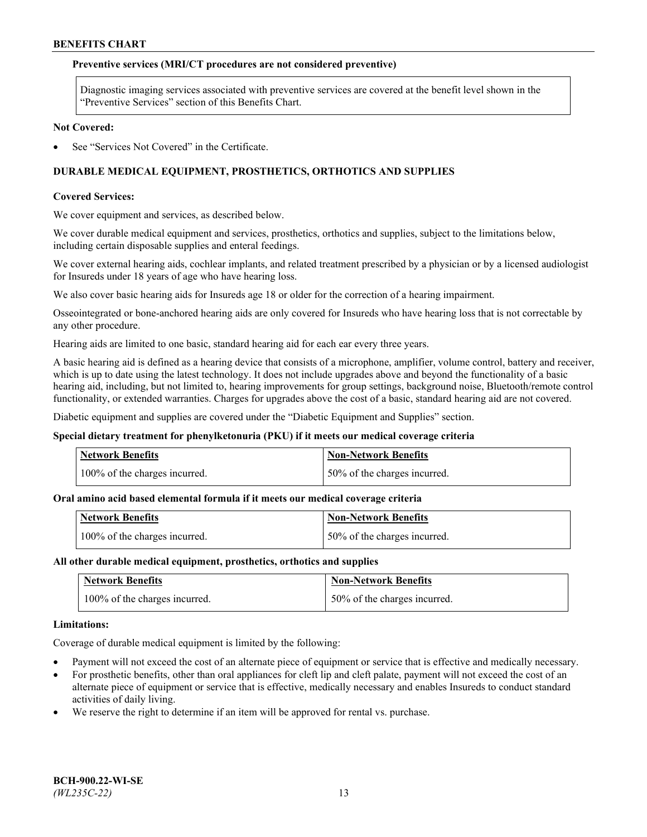### **Preventive services (MRI/CT procedures are not considered preventive)**

Diagnostic imaging services associated with preventive services are covered at the benefit level shown in the "Preventive Services" section of this Benefits Chart.

#### **Not Covered:**

See "Services Not Covered" in the Certificate.

# **DURABLE MEDICAL EQUIPMENT, PROSTHETICS, ORTHOTICS AND SUPPLIES**

#### **Covered Services:**

We cover equipment and services, as described below.

We cover durable medical equipment and services, prosthetics, orthotics and supplies, subject to the limitations below, including certain disposable supplies and enteral feedings.

We cover external hearing aids, cochlear implants, and related treatment prescribed by a physician or by a licensed audiologist for Insureds under 18 years of age who have hearing loss.

We also cover basic hearing aids for Insureds age 18 or older for the correction of a hearing impairment.

Osseointegrated or bone-anchored hearing aids are only covered for Insureds who have hearing loss that is not correctable by any other procedure.

Hearing aids are limited to one basic, standard hearing aid for each ear every three years.

A basic hearing aid is defined as a hearing device that consists of a microphone, amplifier, volume control, battery and receiver, which is up to date using the latest technology. It does not include upgrades above and beyond the functionality of a basic hearing aid, including, but not limited to, hearing improvements for group settings, background noise, Bluetooth/remote control functionality, or extended warranties. Charges for upgrades above the cost of a basic, standard hearing aid are not covered.

Diabetic equipment and supplies are covered under the "Diabetic Equipment and Supplies" section.

#### **Special dietary treatment for phenylketonuria (PKU) if it meets our medical coverage criteria**

| <b>Network Benefits</b>       | <b>Non-Network Benefits</b>   |
|-------------------------------|-------------------------------|
| 100% of the charges incurred. | 150% of the charges incurred. |

#### **Oral amino acid based elemental formula if it meets our medical coverage criteria**

| <b>Network Benefits</b>       | Non-Network Benefits         |
|-------------------------------|------------------------------|
| 100% of the charges incurred. | 50% of the charges incurred. |

#### **All other durable medical equipment, prosthetics, orthotics and supplies**

| <b>Network Benefits</b>       | <b>Non-Network Benefits</b>  |
|-------------------------------|------------------------------|
| 100% of the charges incurred. | 50% of the charges incurred. |

#### **Limitations:**

Coverage of durable medical equipment is limited by the following:

- Payment will not exceed the cost of an alternate piece of equipment or service that is effective and medically necessary.
- For prosthetic benefits, other than oral appliances for cleft lip and cleft palate, payment will not exceed the cost of an alternate piece of equipment or service that is effective, medically necessary and enables Insureds to conduct standard activities of daily living.
- We reserve the right to determine if an item will be approved for rental vs. purchase.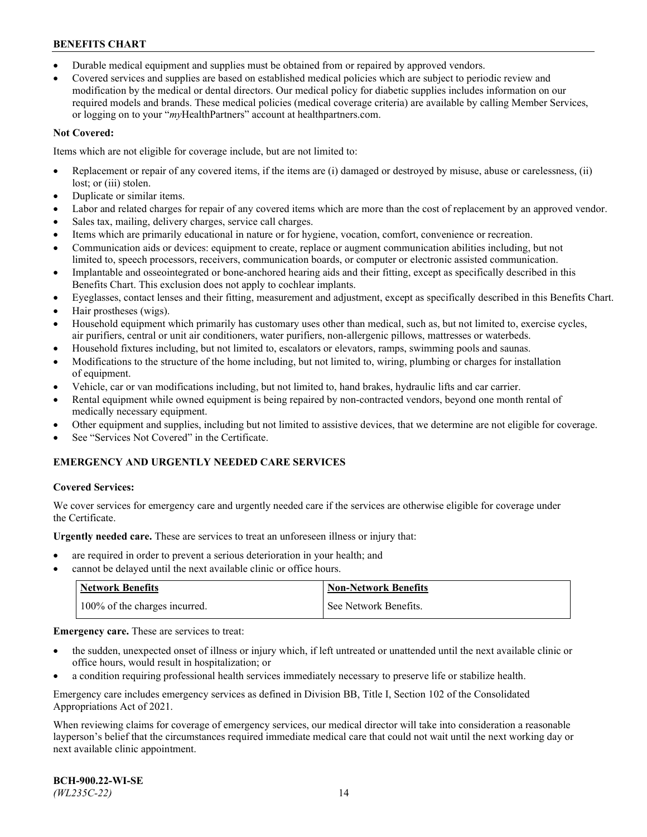- Durable medical equipment and supplies must be obtained from or repaired by approved vendors.
- Covered services and supplies are based on established medical policies which are subject to periodic review and modification by the medical or dental directors. Our medical policy for diabetic supplies includes information on our required models and brands. These medical policies (medical coverage criteria) are available by calling Member Services, or logging on to your "*my*HealthPartners" account a[t healthpartners.com.](http://www.healthpartners.com/)

# **Not Covered:**

Items which are not eligible for coverage include, but are not limited to:

- Replacement or repair of any covered items, if the items are (i) damaged or destroyed by misuse, abuse or carelessness, (ii) lost; or (iii) stolen.
- Duplicate or similar items.
- Labor and related charges for repair of any covered items which are more than the cost of replacement by an approved vendor.
- Sales tax, mailing, delivery charges, service call charges.
- Items which are primarily educational in nature or for hygiene, vocation, comfort, convenience or recreation.
- Communication aids or devices: equipment to create, replace or augment communication abilities including, but not limited to, speech processors, receivers, communication boards, or computer or electronic assisted communication.
- Implantable and osseointegrated or bone-anchored hearing aids and their fitting, except as specifically described in this Benefits Chart. This exclusion does not apply to cochlear implants.
- Eyeglasses, contact lenses and their fitting, measurement and adjustment, except as specifically described in this Benefits Chart.
- Hair prostheses (wigs).
- Household equipment which primarily has customary uses other than medical, such as, but not limited to, exercise cycles, air purifiers, central or unit air conditioners, water purifiers, non-allergenic pillows, mattresses or waterbeds.
- Household fixtures including, but not limited to, escalators or elevators, ramps, swimming pools and saunas.
- Modifications to the structure of the home including, but not limited to, wiring, plumbing or charges for installation of equipment.
- Vehicle, car or van modifications including, but not limited to, hand brakes, hydraulic lifts and car carrier.
- Rental equipment while owned equipment is being repaired by non-contracted vendors, beyond one month rental of medically necessary equipment.
- Other equipment and supplies, including but not limited to assistive devices, that we determine are not eligible for coverage.
- See "Services Not Covered" in the Certificate.

# **EMERGENCY AND URGENTLY NEEDED CARE SERVICES**

## **Covered Services:**

We cover services for emergency care and urgently needed care if the services are otherwise eligible for coverage under the Certificate.

**Urgently needed care.** These are services to treat an unforeseen illness or injury that:

- are required in order to prevent a serious deterioration in your health; and
- cannot be delayed until the next available clinic or office hours.

| <b>Network Benefits</b>       | <b>Non-Network Benefits</b> |
|-------------------------------|-----------------------------|
| 100% of the charges incurred. | See Network Benefits.       |

**Emergency care.** These are services to treat:

- the sudden, unexpected onset of illness or injury which, if left untreated or unattended until the next available clinic or office hours, would result in hospitalization; or
- a condition requiring professional health services immediately necessary to preserve life or stabilize health.

Emergency care includes emergency services as defined in Division BB, Title I, Section 102 of the Consolidated Appropriations Act of 2021.

When reviewing claims for coverage of emergency services, our medical director will take into consideration a reasonable layperson's belief that the circumstances required immediate medical care that could not wait until the next working day or next available clinic appointment.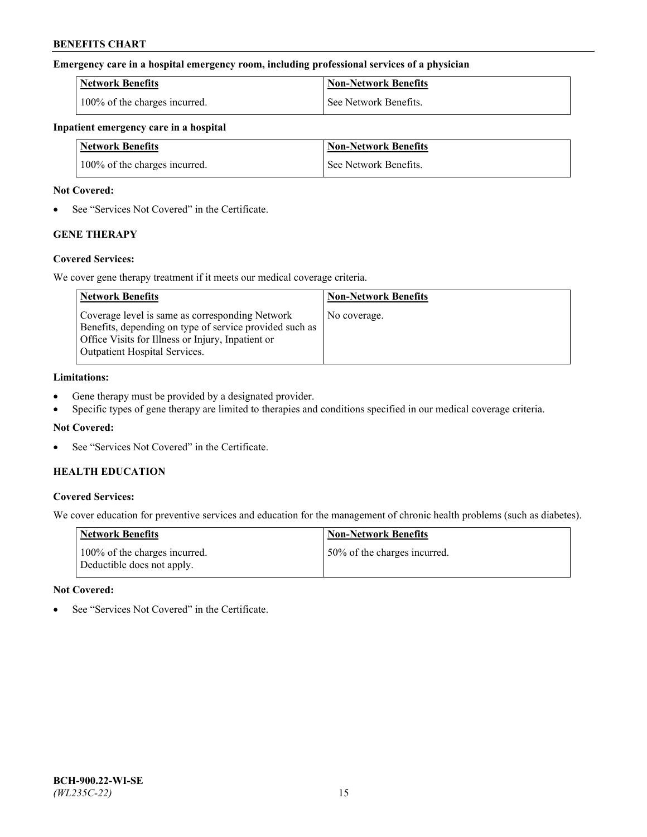## **Emergency care in a hospital emergency room, including professional services of a physician**

| <b>Network Benefits</b>       | <b>Non-Network Benefits</b> |
|-------------------------------|-----------------------------|
| 100% of the charges incurred. | See Network Benefits.       |

### **Inpatient emergency care in a hospital**

| <b>Network Benefits</b>       | <b>Non-Network Benefits</b> |
|-------------------------------|-----------------------------|
| 100% of the charges incurred. | See Network Benefits.       |

### **Not Covered:**

• See "Services Not Covered" in the Certificate.

# **GENE THERAPY**

## **Covered Services:**

We cover gene therapy treatment if it meets our medical coverage criteria.

| <b>Network Benefits</b>                                                                                                                                                                                 | <b>Non-Network Benefits</b> |
|---------------------------------------------------------------------------------------------------------------------------------------------------------------------------------------------------------|-----------------------------|
| Coverage level is same as corresponding Network<br>Benefits, depending on type of service provided such as<br>Office Visits for Illness or Injury, Inpatient or<br><b>Outpatient Hospital Services.</b> | No coverage.                |

## **Limitations:**

- Gene therapy must be provided by a designated provider.
- Specific types of gene therapy are limited to therapies and conditions specified in our medical coverage criteria.

## **Not Covered:**

See "Services Not Covered" in the Certificate.

## **HEALTH EDUCATION**

## **Covered Services:**

We cover education for preventive services and education for the management of chronic health problems (such as diabetes).

| <b>Network Benefits</b>                                     | <b>Non-Network Benefits</b>  |
|-------------------------------------------------------------|------------------------------|
| 100% of the charges incurred.<br>Deductible does not apply. | 50% of the charges incurred. |

#### **Not Covered:**

See "Services Not Covered" in the Certificate.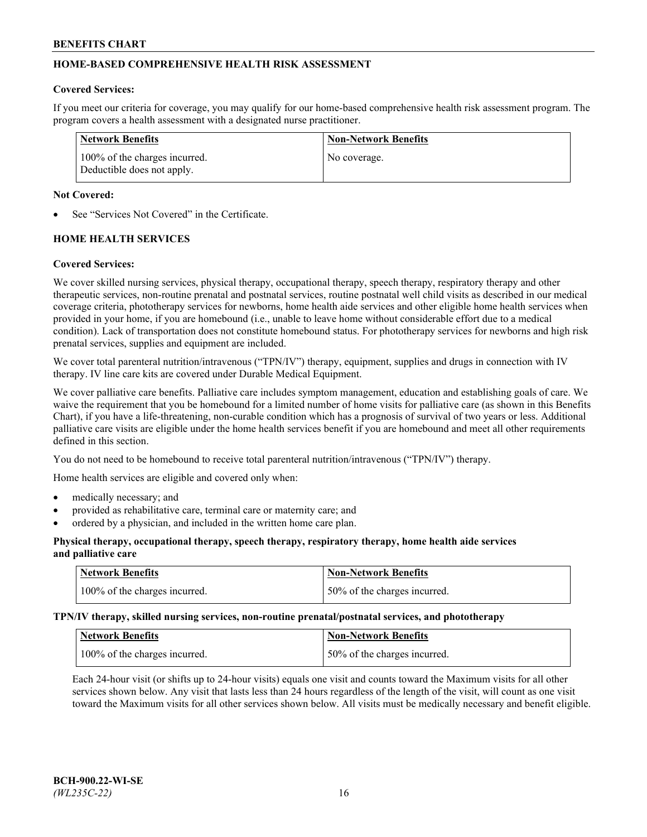# **HOME-BASED COMPREHENSIVE HEALTH RISK ASSESSMENT**

### **Covered Services:**

If you meet our criteria for coverage, you may qualify for our home-based comprehensive health risk assessment program. The program covers a health assessment with a designated nurse practitioner.

| Network Benefits                                            | <b>Non-Network Benefits</b> |
|-------------------------------------------------------------|-----------------------------|
| 100% of the charges incurred.<br>Deductible does not apply. | No coverage.                |

### **Not Covered:**

See "Services Not Covered" in the Certificate.

# **HOME HEALTH SERVICES**

### **Covered Services:**

We cover skilled nursing services, physical therapy, occupational therapy, speech therapy, respiratory therapy and other therapeutic services, non-routine prenatal and postnatal services, routine postnatal well child visits as described in our medical coverage criteria, phototherapy services for newborns, home health aide services and other eligible home health services when provided in your home, if you are homebound (i.e., unable to leave home without considerable effort due to a medical condition). Lack of transportation does not constitute homebound status. For phototherapy services for newborns and high risk prenatal services, supplies and equipment are included.

We cover total parenteral nutrition/intravenous ("TPN/IV") therapy, equipment, supplies and drugs in connection with IV therapy. IV line care kits are covered under Durable Medical Equipment.

We cover palliative care benefits. Palliative care includes symptom management, education and establishing goals of care. We waive the requirement that you be homebound for a limited number of home visits for palliative care (as shown in this Benefits Chart), if you have a life-threatening, non-curable condition which has a prognosis of survival of two years or less. Additional palliative care visits are eligible under the home health services benefit if you are homebound and meet all other requirements defined in this section.

You do not need to be homebound to receive total parenteral nutrition/intravenous ("TPN/IV") therapy.

Home health services are eligible and covered only when:

- medically necessary; and
- provided as rehabilitative care, terminal care or maternity care; and
- ordered by a physician, and included in the written home care plan.

## **Physical therapy, occupational therapy, speech therapy, respiratory therapy, home health aide services and palliative care**

| <b>Network Benefits</b>       | <b>Non-Network Benefits</b>  |
|-------------------------------|------------------------------|
| 100% of the charges incurred. | 50% of the charges incurred. |

**TPN/IV therapy, skilled nursing services, non-routine prenatal/postnatal services, and phototherapy**

| Network Benefits              | Non-Network Benefits         |
|-------------------------------|------------------------------|
| 100% of the charges incurred. | 50% of the charges incurred. |

Each 24-hour visit (or shifts up to 24-hour visits) equals one visit and counts toward the Maximum visits for all other services shown below. Any visit that lasts less than 24 hours regardless of the length of the visit, will count as one visit toward the Maximum visits for all other services shown below. All visits must be medically necessary and benefit eligible.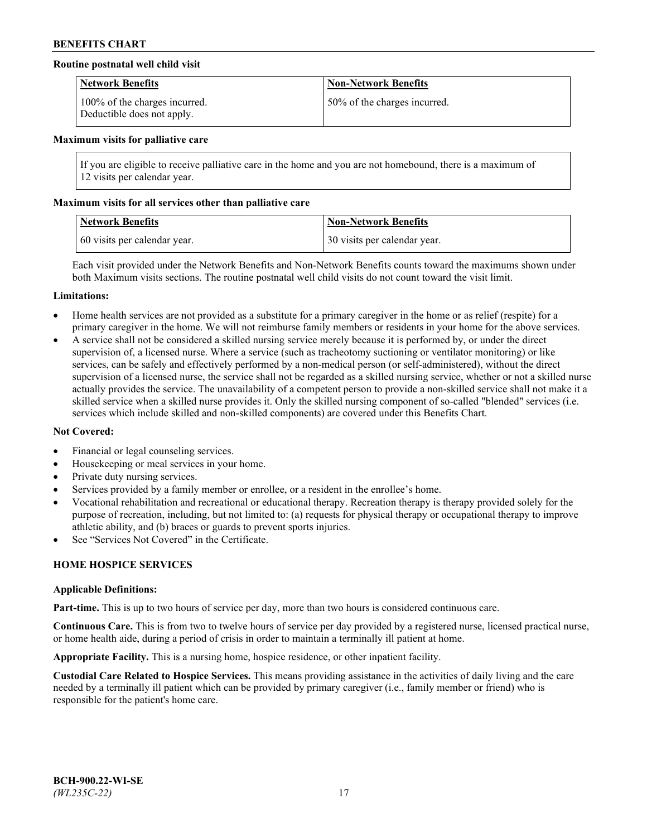## **Routine postnatal well child visit**

| <b>Network Benefits</b>                                     | <b>Non-Network Benefits</b>  |
|-------------------------------------------------------------|------------------------------|
| 100% of the charges incurred.<br>Deductible does not apply. | 50% of the charges incurred. |

#### **Maximum visits for palliative care**

If you are eligible to receive palliative care in the home and you are not homebound, there is a maximum of 12 visits per calendar year.

### **Maximum visits for all services other than palliative care**

| <b>Network Benefits</b>      | <b>Non-Network Benefits</b>  |
|------------------------------|------------------------------|
| 60 visits per calendar year. | 30 visits per calendar year. |

Each visit provided under the Network Benefits and Non-Network Benefits counts toward the maximums shown under both Maximum visits sections. The routine postnatal well child visits do not count toward the visit limit.

#### **Limitations:**

- Home health services are not provided as a substitute for a primary caregiver in the home or as relief (respite) for a primary caregiver in the home. We will not reimburse family members or residents in your home for the above services.
- A service shall not be considered a skilled nursing service merely because it is performed by, or under the direct supervision of, a licensed nurse. Where a service (such as tracheotomy suctioning or ventilator monitoring) or like services, can be safely and effectively performed by a non-medical person (or self-administered), without the direct supervision of a licensed nurse, the service shall not be regarded as a skilled nursing service, whether or not a skilled nurse actually provides the service. The unavailability of a competent person to provide a non-skilled service shall not make it a skilled service when a skilled nurse provides it. Only the skilled nursing component of so-called "blended" services (i.e. services which include skilled and non-skilled components) are covered under this Benefits Chart.

#### **Not Covered:**

- Financial or legal counseling services.
- Housekeeping or meal services in your home.
- Private duty nursing services.
- Services provided by a family member or enrollee, or a resident in the enrollee's home.
- Vocational rehabilitation and recreational or educational therapy. Recreation therapy is therapy provided solely for the purpose of recreation, including, but not limited to: (a) requests for physical therapy or occupational therapy to improve athletic ability, and (b) braces or guards to prevent sports injuries.
- See "Services Not Covered" in the Certificate.

# **HOME HOSPICE SERVICES**

#### **Applicable Definitions:**

**Part-time.** This is up to two hours of service per day, more than two hours is considered continuous care.

**Continuous Care.** This is from two to twelve hours of service per day provided by a registered nurse, licensed practical nurse, or home health aide, during a period of crisis in order to maintain a terminally ill patient at home.

**Appropriate Facility.** This is a nursing home, hospice residence, or other inpatient facility.

**Custodial Care Related to Hospice Services.** This means providing assistance in the activities of daily living and the care needed by a terminally ill patient which can be provided by primary caregiver (i.e., family member or friend) who is responsible for the patient's home care.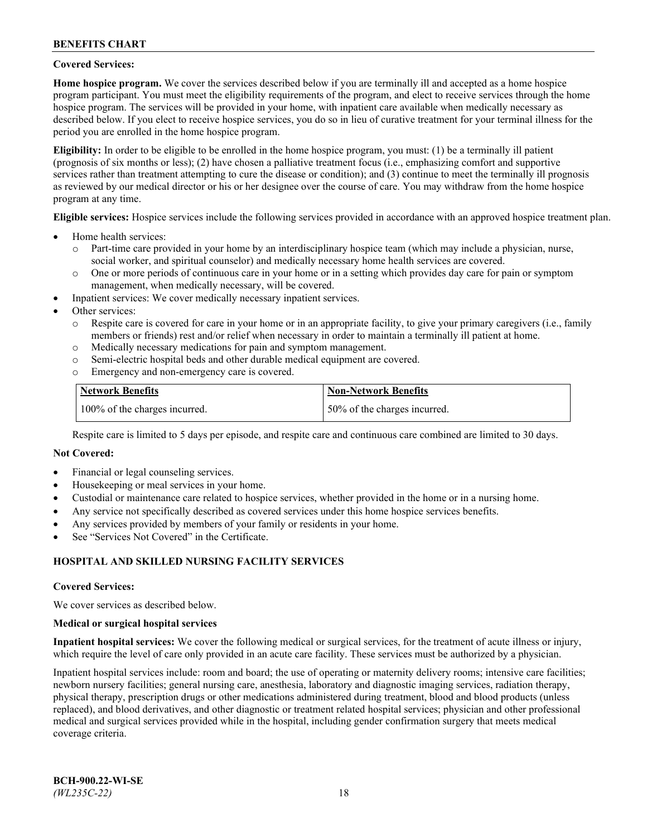## **Covered Services:**

**Home hospice program.** We cover the services described below if you are terminally ill and accepted as a home hospice program participant. You must meet the eligibility requirements of the program, and elect to receive services through the home hospice program. The services will be provided in your home, with inpatient care available when medically necessary as described below. If you elect to receive hospice services, you do so in lieu of curative treatment for your terminal illness for the period you are enrolled in the home hospice program.

**Eligibility:** In order to be eligible to be enrolled in the home hospice program, you must: (1) be a terminally ill patient (prognosis of six months or less); (2) have chosen a palliative treatment focus (i.e., emphasizing comfort and supportive services rather than treatment attempting to cure the disease or condition); and (3) continue to meet the terminally ill prognosis as reviewed by our medical director or his or her designee over the course of care. You may withdraw from the home hospice program at any time.

**Eligible services:** Hospice services include the following services provided in accordance with an approved hospice treatment plan.

- Home health services:
	- o Part-time care provided in your home by an interdisciplinary hospice team (which may include a physician, nurse, social worker, and spiritual counselor) and medically necessary home health services are covered.
	- o One or more periods of continuous care in your home or in a setting which provides day care for pain or symptom management, when medically necessary, will be covered.
- Inpatient services: We cover medically necessary inpatient services.
- Other services:
	- o Respite care is covered for care in your home or in an appropriate facility, to give your primary caregivers (i.e., family members or friends) rest and/or relief when necessary in order to maintain a terminally ill patient at home.
	- o Medically necessary medications for pain and symptom management.
	- o Semi-electric hospital beds and other durable medical equipment are covered.
	- Emergency and non-emergency care is covered.

| Network Benefits              | <b>Non-Network Benefits</b>  |
|-------------------------------|------------------------------|
| 100% of the charges incurred. | 50% of the charges incurred. |

Respite care is limited to 5 days per episode, and respite care and continuous care combined are limited to 30 days.

### **Not Covered:**

- Financial or legal counseling services.
- Housekeeping or meal services in your home.
- Custodial or maintenance care related to hospice services, whether provided in the home or in a nursing home.
- Any service not specifically described as covered services under this home hospice services benefits.
- Any services provided by members of your family or residents in your home.
- See "Services Not Covered" in the Certificate.

## **HOSPITAL AND SKILLED NURSING FACILITY SERVICES**

#### **Covered Services:**

We cover services as described below.

#### **Medical or surgical hospital services**

**Inpatient hospital services:** We cover the following medical or surgical services, for the treatment of acute illness or injury, which require the level of care only provided in an acute care facility. These services must be authorized by a physician.

Inpatient hospital services include: room and board; the use of operating or maternity delivery rooms; intensive care facilities; newborn nursery facilities; general nursing care, anesthesia, laboratory and diagnostic imaging services, radiation therapy, physical therapy, prescription drugs or other medications administered during treatment, blood and blood products (unless replaced), and blood derivatives, and other diagnostic or treatment related hospital services; physician and other professional medical and surgical services provided while in the hospital, including gender confirmation surgery that meets medical coverage criteria.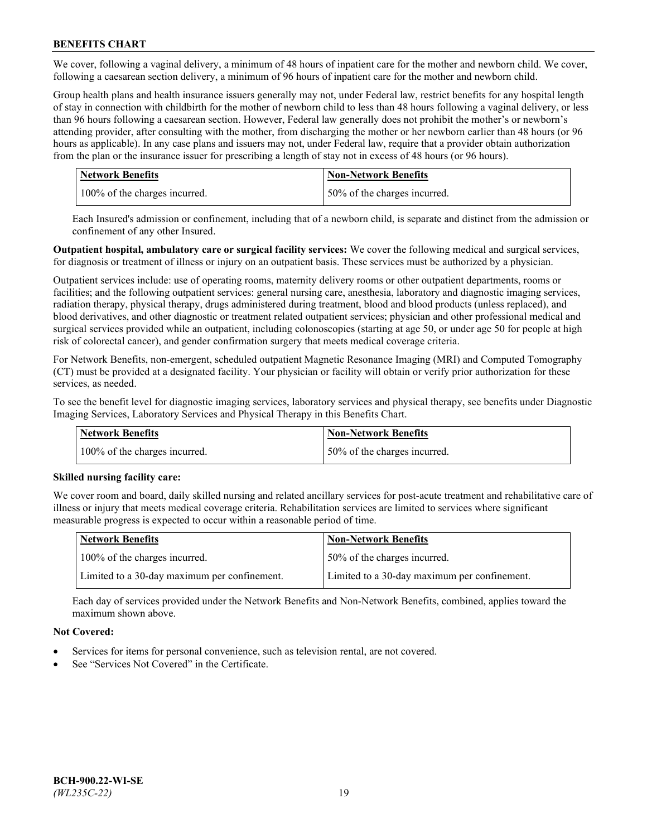We cover, following a vaginal delivery, a minimum of 48 hours of inpatient care for the mother and newborn child. We cover, following a caesarean section delivery, a minimum of 96 hours of inpatient care for the mother and newborn child.

Group health plans and health insurance issuers generally may not, under Federal law, restrict benefits for any hospital length of stay in connection with childbirth for the mother of newborn child to less than 48 hours following a vaginal delivery, or less than 96 hours following a caesarean section. However, Federal law generally does not prohibit the mother's or newborn's attending provider, after consulting with the mother, from discharging the mother or her newborn earlier than 48 hours (or 96 hours as applicable). In any case plans and issuers may not, under Federal law, require that a provider obtain authorization from the plan or the insurance issuer for prescribing a length of stay not in excess of 48 hours (or 96 hours).

| <b>Network Benefits</b>       | <b>Non-Network Benefits</b>  |
|-------------------------------|------------------------------|
| 100% of the charges incurred. | 50% of the charges incurred. |

Each Insured's admission or confinement, including that of a newborn child, is separate and distinct from the admission or confinement of any other Insured.

**Outpatient hospital, ambulatory care or surgical facility services:** We cover the following medical and surgical services, for diagnosis or treatment of illness or injury on an outpatient basis. These services must be authorized by a physician.

Outpatient services include: use of operating rooms, maternity delivery rooms or other outpatient departments, rooms or facilities; and the following outpatient services: general nursing care, anesthesia, laboratory and diagnostic imaging services, radiation therapy, physical therapy, drugs administered during treatment, blood and blood products (unless replaced), and blood derivatives, and other diagnostic or treatment related outpatient services; physician and other professional medical and surgical services provided while an outpatient, including colonoscopies (starting at age 50, or under age 50 for people at high risk of colorectal cancer), and gender confirmation surgery that meets medical coverage criteria.

For Network Benefits, non-emergent, scheduled outpatient Magnetic Resonance Imaging (MRI) and Computed Tomography (CT) must be provided at a designated facility. Your physician or facility will obtain or verify prior authorization for these services, as needed.

To see the benefit level for diagnostic imaging services, laboratory services and physical therapy, see benefits under Diagnostic Imaging Services, Laboratory Services and Physical Therapy in this Benefits Chart.

| <b>Network Benefits</b>       | <b>Non-Network Benefits</b>  |
|-------------------------------|------------------------------|
| 100% of the charges incurred. | 50% of the charges incurred. |

## **Skilled nursing facility care:**

We cover room and board, daily skilled nursing and related ancillary services for post-acute treatment and rehabilitative care of illness or injury that meets medical coverage criteria. Rehabilitation services are limited to services where significant measurable progress is expected to occur within a reasonable period of time.

| Network Benefits                             | <b>Non-Network Benefits</b>                  |
|----------------------------------------------|----------------------------------------------|
| 100% of the charges incurred.                | 50% of the charges incurred.                 |
| Limited to a 30-day maximum per confinement. | Limited to a 30-day maximum per confinement. |

Each day of services provided under the Network Benefits and Non-Network Benefits, combined, applies toward the maximum shown above.

## **Not Covered:**

- Services for items for personal convenience, such as television rental, are not covered.
- See "Services Not Covered" in the Certificate.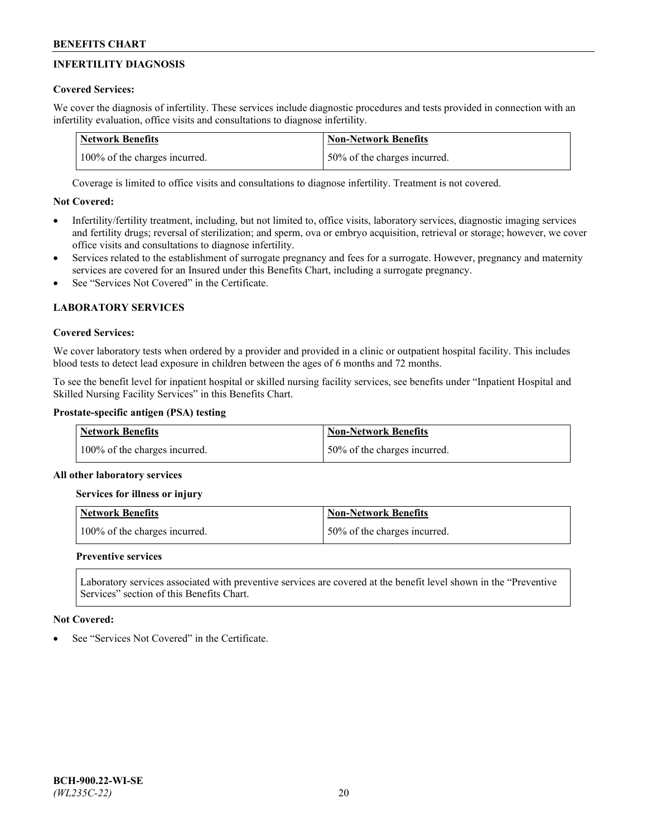# **INFERTILITY DIAGNOSIS**

# **Covered Services:**

We cover the diagnosis of infertility. These services include diagnostic procedures and tests provided in connection with an infertility evaluation, office visits and consultations to diagnose infertility.

| <b>Network Benefits</b>       | <b>Non-Network Benefits</b>  |
|-------------------------------|------------------------------|
| 100% of the charges incurred. | 50% of the charges incurred. |

Coverage is limited to office visits and consultations to diagnose infertility. Treatment is not covered.

# **Not Covered:**

- Infertility/fertility treatment, including, but not limited to, office visits, laboratory services, diagnostic imaging services and fertility drugs; reversal of sterilization; and sperm, ova or embryo acquisition, retrieval or storage; however, we cover office visits and consultations to diagnose infertility.
- Services related to the establishment of surrogate pregnancy and fees for a surrogate. However, pregnancy and maternity services are covered for an Insured under this Benefits Chart, including a surrogate pregnancy.
- See "Services Not Covered" in the Certificate

# **LABORATORY SERVICES**

## **Covered Services:**

We cover laboratory tests when ordered by a provider and provided in a clinic or outpatient hospital facility. This includes blood tests to detect lead exposure in children between the ages of 6 months and 72 months.

To see the benefit level for inpatient hospital or skilled nursing facility services, see benefits under "Inpatient Hospital and Skilled Nursing Facility Services" in this Benefits Chart.

## **Prostate-specific antigen (PSA) testing**

| <b>Network Benefits</b>       | <b>Non-Network Benefits</b>  |
|-------------------------------|------------------------------|
| 100% of the charges incurred. | 50% of the charges incurred. |

## **All other laboratory services**

**Services for illness or injury**

| <b>Network Benefits</b>       | 'Non-Network Benefits        |
|-------------------------------|------------------------------|
| 100% of the charges incurred. | 50% of the charges incurred. |

## **Preventive services**

Laboratory services associated with preventive services are covered at the benefit level shown in the "Preventive Services" section of this Benefits Chart.

## **Not Covered:**

See "Services Not Covered" in the Certificate.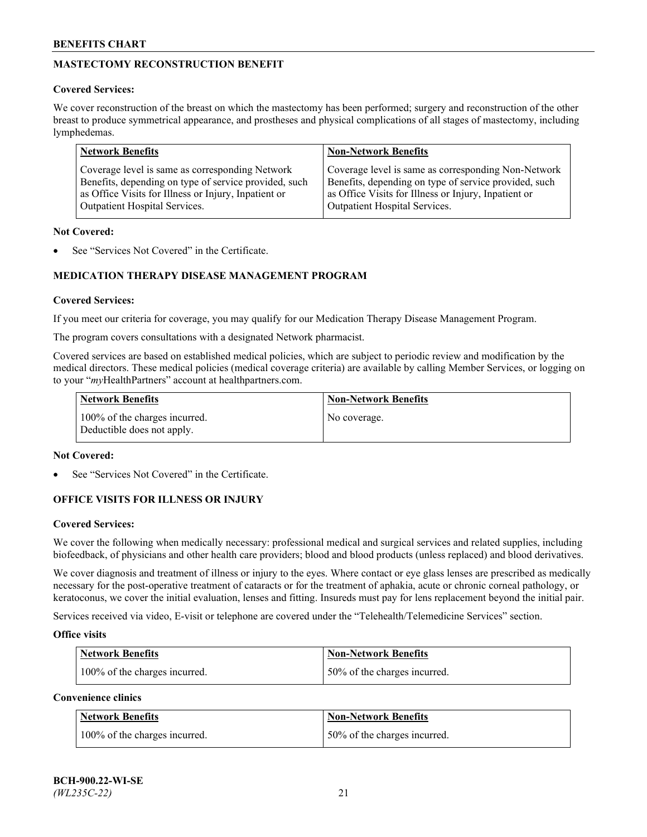# **MASTECTOMY RECONSTRUCTION BENEFIT**

## **Covered Services:**

We cover reconstruction of the breast on which the mastectomy has been performed; surgery and reconstruction of the other breast to produce symmetrical appearance, and prostheses and physical complications of all stages of mastectomy, including lymphedemas.

| <b>Network Benefits</b>                               | <b>Non-Network Benefits</b>                           |
|-------------------------------------------------------|-------------------------------------------------------|
| Coverage level is same as corresponding Network       | Coverage level is same as corresponding Non-Network   |
| Benefits, depending on type of service provided, such | Benefits, depending on type of service provided, such |
| as Office Visits for Illness or Injury, Inpatient or  | as Office Visits for Illness or Injury, Inpatient or  |
| Outpatient Hospital Services.                         | Outpatient Hospital Services.                         |

### **Not Covered:**

See "Services Not Covered" in the Certificate.

# **MEDICATION THERAPY DISEASE MANAGEMENT PROGRAM**

## **Covered Services:**

If you meet our criteria for coverage, you may qualify for our Medication Therapy Disease Management Program.

The program covers consultations with a designated Network pharmacist.

Covered services are based on established medical policies, which are subject to periodic review and modification by the medical directors. These medical policies (medical coverage criteria) are available by calling Member Services, or logging on to your "*my*HealthPartners" account at [healthpartners.com.](http://www.healthpartners.com/)

| Network Benefits                                            | <b>Non-Network Benefits</b> |
|-------------------------------------------------------------|-----------------------------|
| 100% of the charges incurred.<br>Deductible does not apply. | No coverage.                |

## **Not Covered:**

See "Services Not Covered" in the Certificate.

## **OFFICE VISITS FOR ILLNESS OR INJURY**

#### **Covered Services:**

We cover the following when medically necessary: professional medical and surgical services and related supplies, including biofeedback, of physicians and other health care providers; blood and blood products (unless replaced) and blood derivatives.

We cover diagnosis and treatment of illness or injury to the eyes. Where contact or eye glass lenses are prescribed as medically necessary for the post-operative treatment of cataracts or for the treatment of aphakia, acute or chronic corneal pathology, or keratoconus, we cover the initial evaluation, lenses and fitting. Insureds must pay for lens replacement beyond the initial pair.

Services received via video, E-visit or telephone are covered under the "Telehealth/Telemedicine Services" section.

#### **Office visits**

| <b>Network Benefits</b>       | <b>Non-Network Benefits</b>  |
|-------------------------------|------------------------------|
| 100% of the charges incurred. | 50% of the charges incurred. |

**Convenience clinics**

| <b>Network Benefits</b>       | <b>Non-Network Benefits</b>   |
|-------------------------------|-------------------------------|
| 100% of the charges incurred. | 150% of the charges incurred. |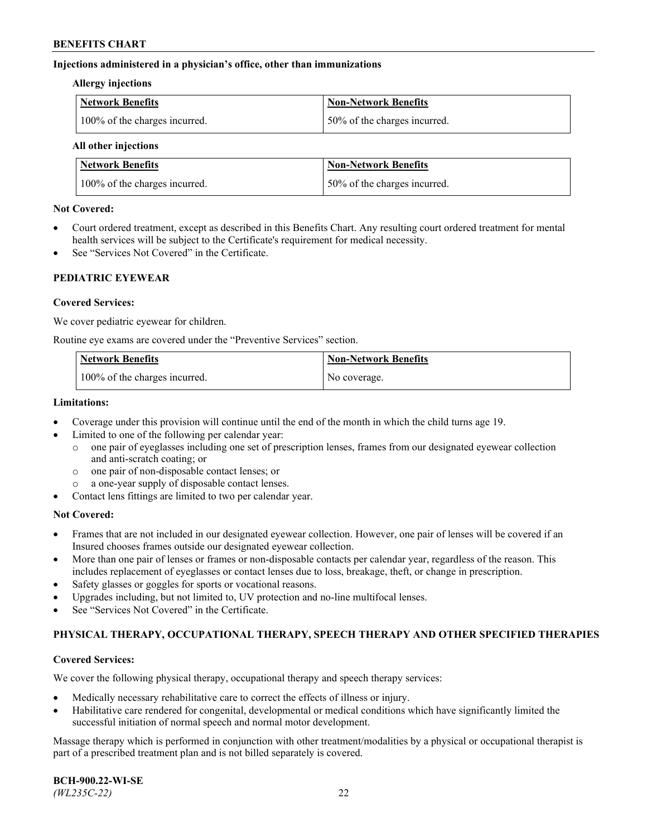### **Injections administered in a physician's office, other than immunizations**

#### **Allergy injections**

| <b>Network Benefits</b>       | <b>Non-Network Benefits</b>  |
|-------------------------------|------------------------------|
| 100% of the charges incurred. | 50% of the charges incurred. |

#### **All other injections**

| <b>Network Benefits</b>       | <b>Non-Network Benefits</b>  |
|-------------------------------|------------------------------|
| 100% of the charges incurred. | 50% of the charges incurred. |

## **Not Covered:**

- Court ordered treatment, except as described in this Benefits Chart. Any resulting court ordered treatment for mental health services will be subject to the Certificate's requirement for medical necessity.
- See "Services Not Covered" in the Certificate.

## **PEDIATRIC EYEWEAR**

## **Covered Services:**

We cover pediatric eyewear for children.

Routine eye exams are covered under the "Preventive Services" section.

| Network Benefits              | <b>Non-Network Benefits</b> |
|-------------------------------|-----------------------------|
| 100% of the charges incurred. | No coverage.                |

### **Limitations:**

- Coverage under this provision will continue until the end of the month in which the child turns age 19.
- Limited to one of the following per calendar year:
	- o one pair of eyeglasses including one set of prescription lenses, frames from our designated eyewear collection and anti-scratch coating; or
	- o one pair of non-disposable contact lenses; or
	- o a one-year supply of disposable contact lenses.
- Contact lens fittings are limited to two per calendar year.

## **Not Covered:**

- Frames that are not included in our designated eyewear collection. However, one pair of lenses will be covered if an Insured chooses frames outside our designated eyewear collection.
- More than one pair of lenses or frames or non-disposable contacts per calendar year, regardless of the reason. This includes replacement of eyeglasses or contact lenses due to loss, breakage, theft, or change in prescription.
- Safety glasses or goggles for sports or vocational reasons.
- Upgrades including, but not limited to, UV protection and no-line multifocal lenses.
- See "Services Not Covered" in the Certificate.

## **PHYSICAL THERAPY, OCCUPATIONAL THERAPY, SPEECH THERAPY AND OTHER SPECIFIED THERAPIES**

## **Covered Services:**

We cover the following physical therapy, occupational therapy and speech therapy services:

- Medically necessary rehabilitative care to correct the effects of illness or injury.
- Habilitative care rendered for congenital, developmental or medical conditions which have significantly limited the successful initiation of normal speech and normal motor development.

Massage therapy which is performed in conjunction with other treatment/modalities by a physical or occupational therapist is part of a prescribed treatment plan and is not billed separately is covered.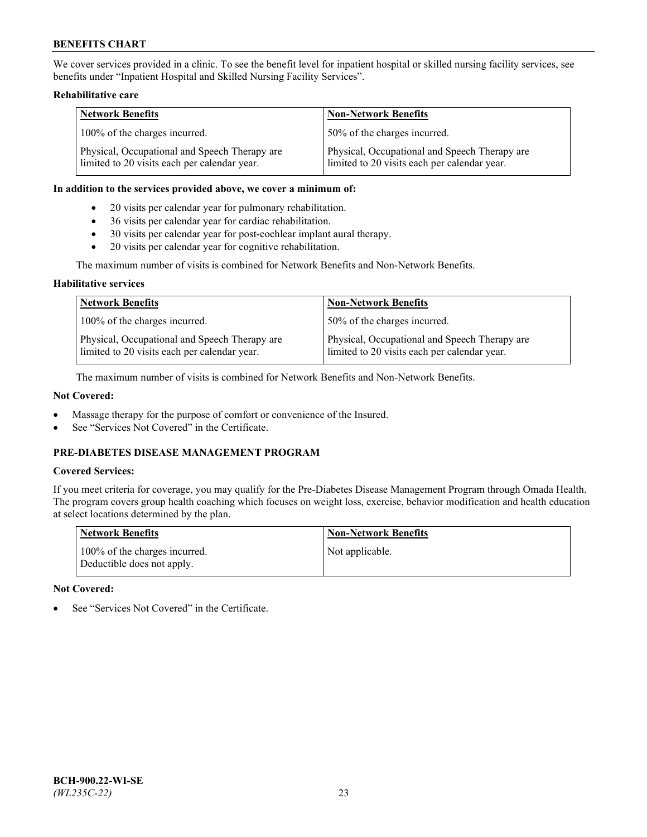We cover services provided in a clinic. To see the benefit level for inpatient hospital or skilled nursing facility services, see benefits under "Inpatient Hospital and Skilled Nursing Facility Services".

## **Rehabilitative care**

| <b>Network Benefits</b>                                                                       | <b>Non-Network Benefits</b>                                                                   |
|-----------------------------------------------------------------------------------------------|-----------------------------------------------------------------------------------------------|
| 100% of the charges incurred.                                                                 | 50% of the charges incurred.                                                                  |
| Physical, Occupational and Speech Therapy are<br>limited to 20 visits each per calendar year. | Physical, Occupational and Speech Therapy are<br>limited to 20 visits each per calendar year. |

#### **In addition to the services provided above, we cover a minimum of:**

- 20 visits per calendar year for pulmonary rehabilitation.
- 36 visits per calendar year for cardiac rehabilitation.
- 30 visits per calendar year for post-cochlear implant aural therapy.
- 20 visits per calendar year for cognitive rehabilitation.

The maximum number of visits is combined for Network Benefits and Non-Network Benefits.

### **Habilitative services**

| <b>Network Benefits</b>                                                                       | <b>Non-Network Benefits</b>                                                                   |
|-----------------------------------------------------------------------------------------------|-----------------------------------------------------------------------------------------------|
| 100% of the charges incurred.                                                                 | 50% of the charges incurred.                                                                  |
| Physical, Occupational and Speech Therapy are<br>limited to 20 visits each per calendar year. | Physical, Occupational and Speech Therapy are<br>limited to 20 visits each per calendar year. |

The maximum number of visits is combined for Network Benefits and Non-Network Benefits.

## **Not Covered:**

- Massage therapy for the purpose of comfort or convenience of the Insured.
- See "Services Not Covered" in the Certificate.

# **PRE-DIABETES DISEASE MANAGEMENT PROGRAM**

## **Covered Services:**

If you meet criteria for coverage, you may qualify for the Pre-Diabetes Disease Management Program through Omada Health. The program covers group health coaching which focuses on weight loss, exercise, behavior modification and health education at select locations determined by the plan.

| <b>Network Benefits</b>                                     | <b>Non-Network Benefits</b> |
|-------------------------------------------------------------|-----------------------------|
| 100% of the charges incurred.<br>Deductible does not apply. | Not applicable.             |

## **Not Covered:**

See "Services Not Covered" in the Certificate.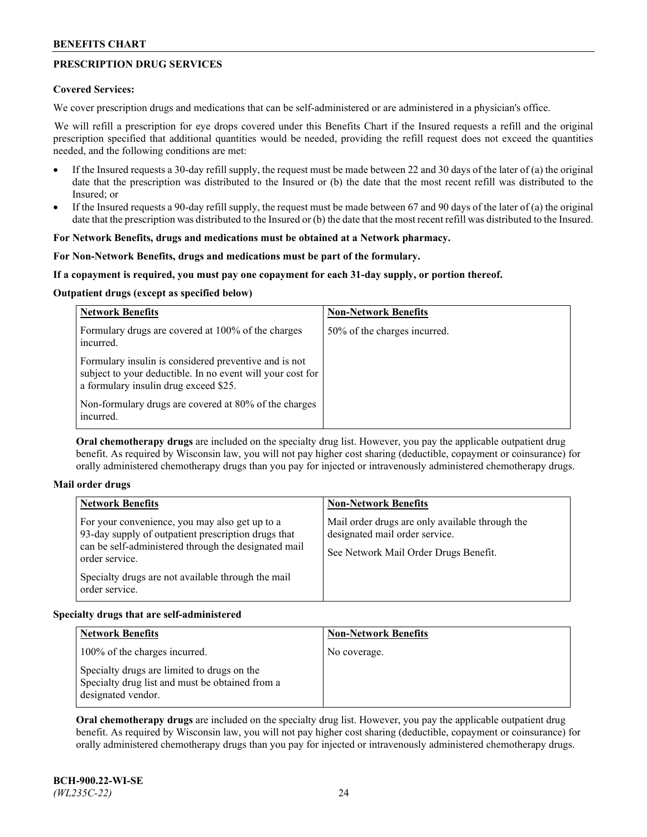# **PRESCRIPTION DRUG SERVICES**

### **Covered Services:**

We cover prescription drugs and medications that can be self-administered or are administered in a physician's office.

We will refill a prescription for eye drops covered under this Benefits Chart if the Insured requests a refill and the original prescription specified that additional quantities would be needed, providing the refill request does not exceed the quantities needed, and the following conditions are met:

- If the Insured requests a 30-day refill supply, the request must be made between 22 and 30 days of the later of (a) the original date that the prescription was distributed to the Insured or (b) the date that the most recent refill was distributed to the Insured; or
- If the Insured requests a 90-day refill supply, the request must be made between 67 and 90 days of the later of (a) the original date that the prescription was distributed to the Insured or (b) the date that the most recent refill was distributed to the Insured.

## **For Network Benefits, drugs and medications must be obtained at a Network pharmacy.**

### **For Non-Network Benefits, drugs and medications must be part of the formulary.**

### **If a copayment is required, you must pay one copayment for each 31-day supply, or portion thereof.**

### **Outpatient drugs (except as specified below)**

| <b>Network Benefits</b>                                                                                                                                      | <b>Non-Network Benefits</b>  |
|--------------------------------------------------------------------------------------------------------------------------------------------------------------|------------------------------|
| Formulary drugs are covered at 100% of the charges<br>incurred.                                                                                              | 50% of the charges incurred. |
| Formulary insulin is considered preventive and is not<br>subject to your deductible. In no event will your cost for<br>a formulary insulin drug exceed \$25. |                              |
| Non-formulary drugs are covered at 80% of the charges<br>incurred.                                                                                           |                              |

**Oral chemotherapy drugs** are included on the specialty drug list. However, you pay the applicable outpatient drug benefit. As required by Wisconsin law, you will not pay higher cost sharing (deductible, copayment or coinsurance) for orally administered chemotherapy drugs than you pay for injected or intravenously administered chemotherapy drugs.

#### **Mail order drugs**

| For your convenience, you may also get up to a                                                                                                                                                        |                                                                                                                            |
|-------------------------------------------------------------------------------------------------------------------------------------------------------------------------------------------------------|----------------------------------------------------------------------------------------------------------------------------|
| 93-day supply of outpatient prescription drugs that<br>can be self-administered through the designated mail<br>order service.<br>Specialty drugs are not available through the mail<br>order service. | Mail order drugs are only available through the<br>designated mail order service.<br>See Network Mail Order Drugs Benefit. |

## **Specialty drugs that are self-administered**

| <b>Network Benefits</b>                                                                                              | <b>Non-Network Benefits</b> |
|----------------------------------------------------------------------------------------------------------------------|-----------------------------|
| 100% of the charges incurred.                                                                                        | No coverage.                |
| Specialty drugs are limited to drugs on the<br>Specialty drug list and must be obtained from a<br>designated vendor. |                             |

**Oral chemotherapy drugs** are included on the specialty drug list. However, you pay the applicable outpatient drug benefit. As required by Wisconsin law, you will not pay higher cost sharing (deductible, copayment or coinsurance) for orally administered chemotherapy drugs than you pay for injected or intravenously administered chemotherapy drugs.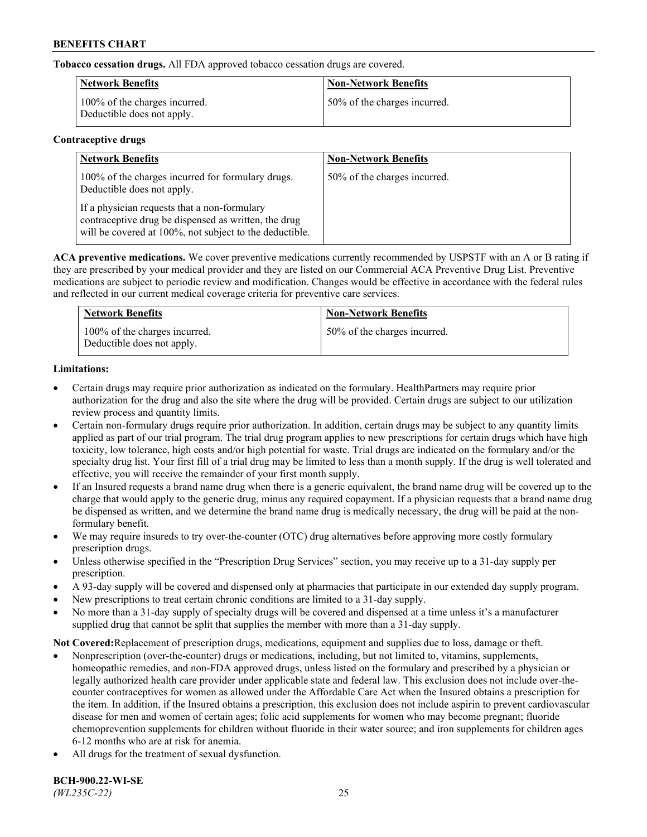**Tobacco cessation drugs.** All FDA approved tobacco cessation drugs are covered.

| <b>Network Benefits</b>                                     | <b>Non-Network Benefits</b>  |
|-------------------------------------------------------------|------------------------------|
| 100% of the charges incurred.<br>Deductible does not apply. | 50% of the charges incurred. |

## **Contraceptive drugs**

| <b>Network Benefits</b>                                                                                                                                         | <b>Non-Network Benefits</b>  |
|-----------------------------------------------------------------------------------------------------------------------------------------------------------------|------------------------------|
| 100% of the charges incurred for formulary drugs.<br>Deductible does not apply.                                                                                 | 50% of the charges incurred. |
| If a physician requests that a non-formulary<br>contraceptive drug be dispensed as written, the drug<br>will be covered at 100%, not subject to the deductible. |                              |

**ACA preventive medications.** We cover preventive medications currently recommended by USPSTF with an A or B rating if they are prescribed by your medical provider and they are listed on our Commercial ACA Preventive Drug List. Preventive medications are subject to periodic review and modification. Changes would be effective in accordance with the federal rules and reflected in our current medical coverage criteria for preventive care services.

| <b>Network Benefits</b>                                     | <b>Non-Network Benefits</b>  |
|-------------------------------------------------------------|------------------------------|
| 100% of the charges incurred.<br>Deductible does not apply. | 50% of the charges incurred. |

# **Limitations:**

- Certain drugs may require prior authorization as indicated on the formulary. HealthPartners may require prior authorization for the drug and also the site where the drug will be provided. Certain drugs are subject to our utilization review process and quantity limits.
- Certain non-formulary drugs require prior authorization. In addition, certain drugs may be subject to any quantity limits applied as part of our trial program. The trial drug program applies to new prescriptions for certain drugs which have high toxicity, low tolerance, high costs and/or high potential for waste. Trial drugs are indicated on the formulary and/or the specialty drug list. Your first fill of a trial drug may be limited to less than a month supply. If the drug is well tolerated and effective, you will receive the remainder of your first month supply.
- If an Insured requests a brand name drug when there is a generic equivalent, the brand name drug will be covered up to the charge that would apply to the generic drug, minus any required copayment. If a physician requests that a brand name drug be dispensed as written, and we determine the brand name drug is medically necessary, the drug will be paid at the nonformulary benefit.
- We may require insureds to try over-the-counter (OTC) drug alternatives before approving more costly formulary prescription drugs.
- Unless otherwise specified in the "Prescription Drug Services" section, you may receive up to a 31-day supply per prescription.
- A 93-day supply will be covered and dispensed only at pharmacies that participate in our extended day supply program.
- New prescriptions to treat certain chronic conditions are limited to a 31-day supply.
- No more than a 31-day supply of specialty drugs will be covered and dispensed at a time unless it's a manufacturer supplied drug that cannot be split that supplies the member with more than a 31-day supply.

**Not Covered:**Replacement of prescription drugs, medications, equipment and supplies due to loss, damage or theft.

- Nonprescription (over-the-counter) drugs or medications, including, but not limited to, vitamins, supplements, homeopathic remedies, and non-FDA approved drugs, unless listed on the formulary and prescribed by a physician or legally authorized health care provider under applicable state and federal law. This exclusion does not include over-thecounter contraceptives for women as allowed under the Affordable Care Act when the Insured obtains a prescription for the item. In addition, if the Insured obtains a prescription, this exclusion does not include aspirin to prevent cardiovascular disease for men and women of certain ages; folic acid supplements for women who may become pregnant; fluoride chemoprevention supplements for children without fluoride in their water source; and iron supplements for children ages 6-12 months who are at risk for anemia.
- All drugs for the treatment of sexual dysfunction.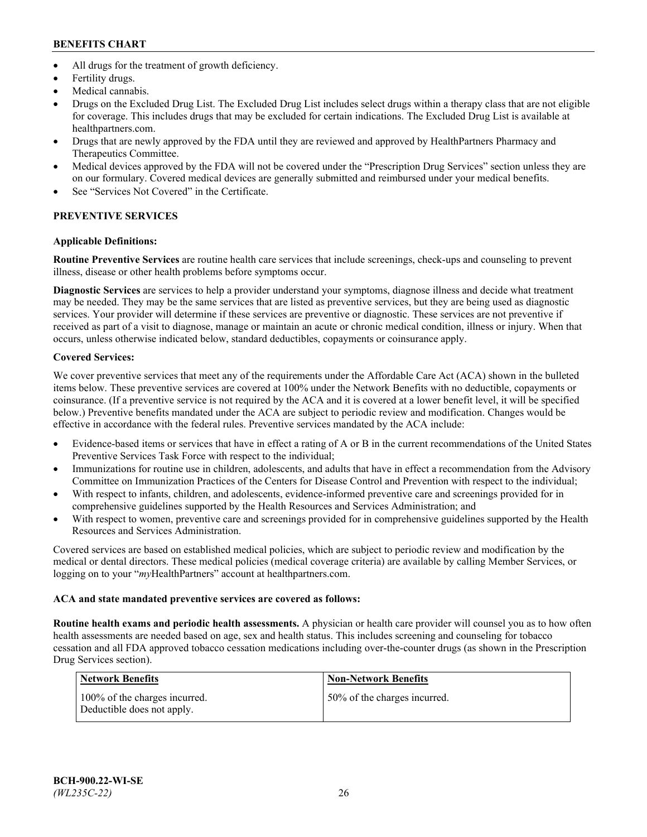- All drugs for the treatment of growth deficiency.
- Fertility drugs.
- Medical cannabis.
- Drugs on the Excluded Drug List. The Excluded Drug List includes select drugs within a therapy class that are not eligible for coverage. This includes drugs that may be excluded for certain indications. The Excluded Drug List is available at [healthpartners.com.](http://www.healthpartners.com/)
- Drugs that are newly approved by the FDA until they are reviewed and approved by HealthPartners Pharmacy and Therapeutics Committee.
- Medical devices approved by the FDA will not be covered under the "Prescription Drug Services" section unless they are on our formulary. Covered medical devices are generally submitted and reimbursed under your medical benefits.
- See "Services Not Covered" in the Certificate.

# **PREVENTIVE SERVICES**

# **Applicable Definitions:**

**Routine Preventive Services** are routine health care services that include screenings, check-ups and counseling to prevent illness, disease or other health problems before symptoms occur.

**Diagnostic Services** are services to help a provider understand your symptoms, diagnose illness and decide what treatment may be needed. They may be the same services that are listed as preventive services, but they are being used as diagnostic services. Your provider will determine if these services are preventive or diagnostic. These services are not preventive if received as part of a visit to diagnose, manage or maintain an acute or chronic medical condition, illness or injury. When that occurs, unless otherwise indicated below, standard deductibles, copayments or coinsurance apply.

# **Covered Services:**

We cover preventive services that meet any of the requirements under the Affordable Care Act (ACA) shown in the bulleted items below. These preventive services are covered at 100% under the Network Benefits with no deductible, copayments or coinsurance. (If a preventive service is not required by the ACA and it is covered at a lower benefit level, it will be specified below.) Preventive benefits mandated under the ACA are subject to periodic review and modification. Changes would be effective in accordance with the federal rules. Preventive services mandated by the ACA include:

- Evidence-based items or services that have in effect a rating of A or B in the current recommendations of the United States Preventive Services Task Force with respect to the individual;
- Immunizations for routine use in children, adolescents, and adults that have in effect a recommendation from the Advisory Committee on Immunization Practices of the Centers for Disease Control and Prevention with respect to the individual;
- With respect to infants, children, and adolescents, evidence-informed preventive care and screenings provided for in comprehensive guidelines supported by the Health Resources and Services Administration; and
- With respect to women, preventive care and screenings provided for in comprehensive guidelines supported by the Health Resources and Services Administration.

Covered services are based on established medical policies, which are subject to periodic review and modification by the medical or dental directors. These medical policies (medical coverage criteria) are available by calling Member Services, or logging on to your "*my*HealthPartners" account at [healthpartners.com.](https://www.healthpartners.com/hp/index.html)

# **ACA and state mandated preventive services are covered as follows:**

**Routine health exams and periodic health assessments.** A physician or health care provider will counsel you as to how often health assessments are needed based on age, sex and health status. This includes screening and counseling for tobacco cessation and all FDA approved tobacco cessation medications including over-the-counter drugs (as shown in the Prescription Drug Services section).

| Network Benefits                                            | <b>Non-Network Benefits</b>  |
|-------------------------------------------------------------|------------------------------|
| 100% of the charges incurred.<br>Deductible does not apply. | 50% of the charges incurred. |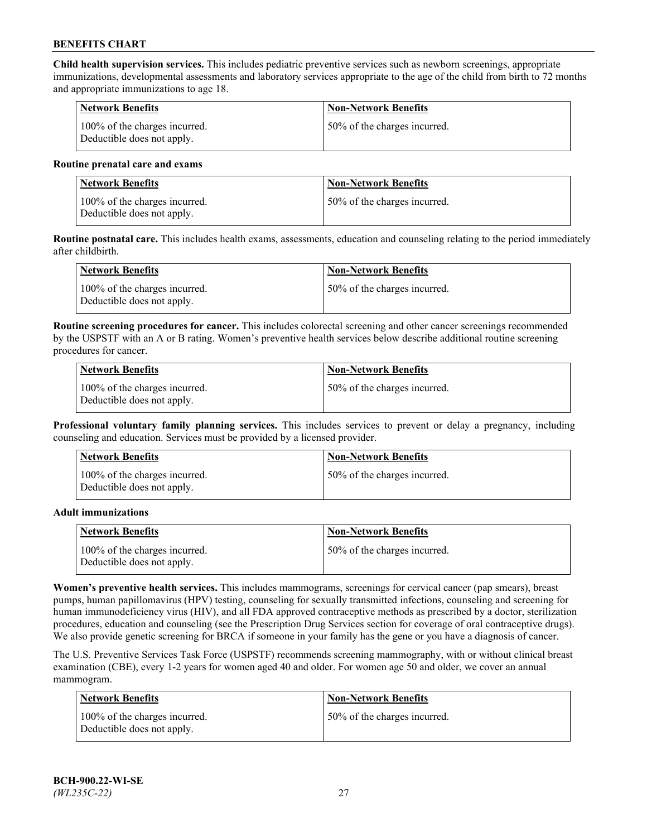**Child health supervision services.** This includes pediatric preventive services such as newborn screenings, appropriate immunizations, developmental assessments and laboratory services appropriate to the age of the child from birth to 72 months and appropriate immunizations to age 18.

| <b>Network Benefits</b>                                     | <b>Non-Network Benefits</b>  |
|-------------------------------------------------------------|------------------------------|
| 100% of the charges incurred.<br>Deductible does not apply. | 50% of the charges incurred. |

#### **Routine prenatal care and exams**

| Network Benefits                                            | <b>Non-Network Benefits</b>  |
|-------------------------------------------------------------|------------------------------|
| 100% of the charges incurred.<br>Deductible does not apply. | 50% of the charges incurred. |

**Routine postnatal care.** This includes health exams, assessments, education and counseling relating to the period immediately after childbirth.

| Network Benefits                                            | <b>Non-Network Benefits</b>  |
|-------------------------------------------------------------|------------------------------|
| 100% of the charges incurred.<br>Deductible does not apply. | 50% of the charges incurred. |

**Routine screening procedures for cancer.** This includes colorectal screening and other cancer screenings recommended by the USPSTF with an A or B rating. Women's preventive health services below describe additional routine screening procedures for cancer.

| <b>Network Benefits</b>                                     | <b>Non-Network Benefits</b>  |
|-------------------------------------------------------------|------------------------------|
| 100% of the charges incurred.<br>Deductible does not apply. | 50% of the charges incurred. |

**Professional voluntary family planning services.** This includes services to prevent or delay a pregnancy, including counseling and education. Services must be provided by a licensed provider.

| <b>Network Benefits</b>                                     | <b>Non-Network Benefits</b>  |
|-------------------------------------------------------------|------------------------------|
| 100% of the charges incurred.<br>Deductible does not apply. | 50% of the charges incurred. |

#### **Adult immunizations**

| <b>Network Benefits</b>                                     | <b>Non-Network Benefits</b>  |
|-------------------------------------------------------------|------------------------------|
| 100% of the charges incurred.<br>Deductible does not apply. | 50% of the charges incurred. |

**Women's preventive health services.** This includes mammograms, screenings for cervical cancer (pap smears), breast pumps, human papillomavirus (HPV) testing, counseling for sexually transmitted infections, counseling and screening for human immunodeficiency virus (HIV), and all FDA approved contraceptive methods as prescribed by a doctor, sterilization procedures, education and counseling (see the Prescription Drug Services section for coverage of oral contraceptive drugs). We also provide genetic screening for BRCA if someone in your family has the gene or you have a diagnosis of cancer.

The U.S. Preventive Services Task Force (USPSTF) recommends screening mammography, with or without clinical breast examination (CBE), every 1-2 years for women aged 40 and older. For women age 50 and older, we cover an annual mammogram.

| <b>Network Benefits</b>                                     | <b>Non-Network Benefits</b>  |
|-------------------------------------------------------------|------------------------------|
| 100% of the charges incurred.<br>Deductible does not apply. | 50% of the charges incurred. |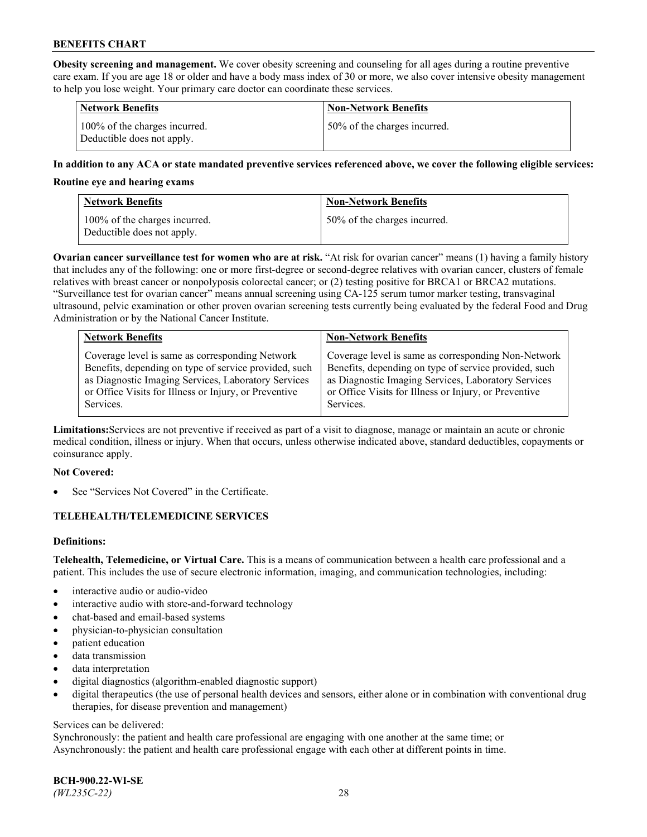**Obesity screening and management.** We cover obesity screening and counseling for all ages during a routine preventive care exam. If you are age 18 or older and have a body mass index of 30 or more, we also cover intensive obesity management to help you lose weight. Your primary care doctor can coordinate these services.

| <b>Network Benefits</b>                                     | <b>Non-Network Benefits</b>  |
|-------------------------------------------------------------|------------------------------|
| 100% of the charges incurred.<br>Deductible does not apply. | 50% of the charges incurred. |

## **In addition to any ACA or state mandated preventive services referenced above, we cover the following eligible services:**

#### **Routine eye and hearing exams**

| <b>Network Benefits</b>                                     | <b>Non-Network Benefits</b>  |
|-------------------------------------------------------------|------------------------------|
| 100% of the charges incurred.<br>Deductible does not apply. | 50% of the charges incurred. |

**Ovarian cancer surveillance test for women who are at risk.** "At risk for ovarian cancer" means (1) having a family history that includes any of the following: one or more first-degree or second-degree relatives with ovarian cancer, clusters of female relatives with breast cancer or nonpolyposis colorectal cancer; or (2) testing positive for BRCA1 or BRCA2 mutations. "Surveillance test for ovarian cancer" means annual screening using CA-125 serum tumor marker testing, transvaginal ultrasound, pelvic examination or other proven ovarian screening tests currently being evaluated by the federal Food and Drug Administration or by the National Cancer Institute.

| <b>Network Benefits</b>                               | <b>Non-Network Benefits</b>                           |
|-------------------------------------------------------|-------------------------------------------------------|
| Coverage level is same as corresponding Network       | Coverage level is same as corresponding Non-Network   |
| Benefits, depending on type of service provided, such | Benefits, depending on type of service provided, such |
| as Diagnostic Imaging Services, Laboratory Services   | as Diagnostic Imaging Services, Laboratory Services   |
| or Office Visits for Illness or Injury, or Preventive | or Office Visits for Illness or Injury, or Preventive |
| Services.                                             | Services.                                             |

**Limitations:**Services are not preventive if received as part of a visit to diagnose, manage or maintain an acute or chronic medical condition, illness or injury. When that occurs, unless otherwise indicated above, standard deductibles, copayments or coinsurance apply.

#### **Not Covered:**

See "Services Not Covered" in the Certificate.

## **TELEHEALTH/TELEMEDICINE SERVICES**

## **Definitions:**

**Telehealth, Telemedicine, or Virtual Care.** This is a means of communication between a health care professional and a patient. This includes the use of secure electronic information, imaging, and communication technologies, including:

- interactive audio or audio-video
- interactive audio with store-and-forward technology
- chat-based and email-based systems
- physician-to-physician consultation
- patient education
- data transmission
- data interpretation
- digital diagnostics (algorithm-enabled diagnostic support)
- digital therapeutics (the use of personal health devices and sensors, either alone or in combination with conventional drug therapies, for disease prevention and management)

#### Services can be delivered:

Synchronously: the patient and health care professional are engaging with one another at the same time; or Asynchronously: the patient and health care professional engage with each other at different points in time.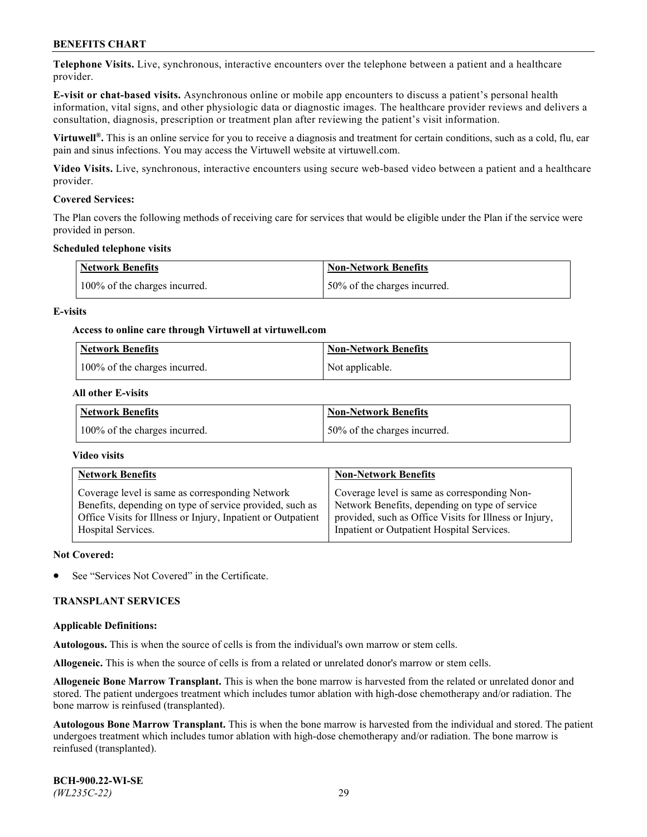**Telephone Visits.** Live, synchronous, interactive encounters over the telephone between a patient and a healthcare provider.

**E-visit or chat-based visits.** Asynchronous online or mobile app encounters to discuss a patient's personal health information, vital signs, and other physiologic data or diagnostic images. The healthcare provider reviews and delivers a consultation, diagnosis, prescription or treatment plan after reviewing the patient's visit information.

**Virtuwell®.** This is an online service for you to receive a diagnosis and treatment for certain conditions, such as a cold, flu, ear pain and sinus infections. You may access the Virtuwell website at [virtuwell.com.](https://www.virtuwell.com/)

**Video Visits.** Live, synchronous, interactive encounters using secure web-based video between a patient and a healthcare provider.

### **Covered Services:**

The Plan covers the following methods of receiving care for services that would be eligible under the Plan if the service were provided in person.

#### **Scheduled telephone visits**

| <b>Network Benefits</b>       | <b>Non-Network Benefits</b>  |
|-------------------------------|------------------------------|
| 100% of the charges incurred. | 50% of the charges incurred. |

### **E-visits**

### **Access to online care through Virtuwell at [virtuwell.com](https://www.virtuwell.com/)**

| Network Benefits              | <b>Non-Network Benefits</b> |
|-------------------------------|-----------------------------|
| 100% of the charges incurred. | Not applicable.             |

### **All other E-visits**

| <b>Network Benefits</b>       | <b>Non-Network Benefits</b>  |
|-------------------------------|------------------------------|
| 100% of the charges incurred. | 50% of the charges incurred. |

#### **Video visits**

| <b>Network Benefits</b>                                      | <b>Non-Network Benefits</b>                            |
|--------------------------------------------------------------|--------------------------------------------------------|
| Coverage level is same as corresponding Network              | Coverage level is same as corresponding Non-           |
| Benefits, depending on type of service provided, such as     | Network Benefits, depending on type of service         |
| Office Visits for Illness or Injury, Inpatient or Outpatient | provided, such as Office Visits for Illness or Injury, |
| Hospital Services.                                           | Inpatient or Outpatient Hospital Services.             |

#### **Not Covered:**

See "Services Not Covered" in the Certificate.

## **TRANSPLANT SERVICES**

#### **Applicable Definitions:**

**Autologous.** This is when the source of cells is from the individual's own marrow or stem cells.

**Allogeneic.** This is when the source of cells is from a related or unrelated donor's marrow or stem cells.

**Allogeneic Bone Marrow Transplant.** This is when the bone marrow is harvested from the related or unrelated donor and stored. The patient undergoes treatment which includes tumor ablation with high-dose chemotherapy and/or radiation. The bone marrow is reinfused (transplanted).

**Autologous Bone Marrow Transplant.** This is when the bone marrow is harvested from the individual and stored. The patient undergoes treatment which includes tumor ablation with high-dose chemotherapy and/or radiation. The bone marrow is reinfused (transplanted).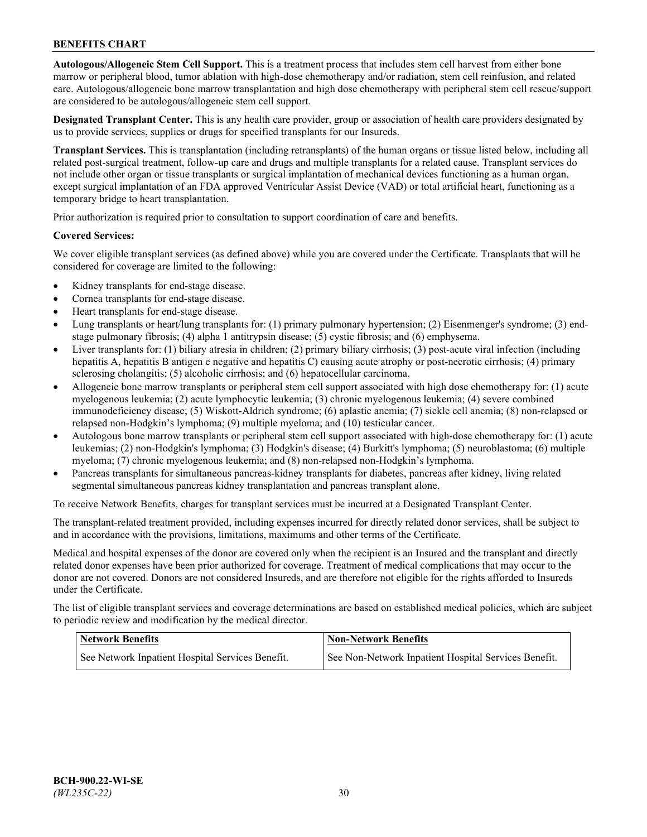**Autologous/Allogeneic Stem Cell Support.** This is a treatment process that includes stem cell harvest from either bone marrow or peripheral blood, tumor ablation with high-dose chemotherapy and/or radiation, stem cell reinfusion, and related care. Autologous/allogeneic bone marrow transplantation and high dose chemotherapy with peripheral stem cell rescue/support are considered to be autologous/allogeneic stem cell support.

**Designated Transplant Center.** This is any health care provider, group or association of health care providers designated by us to provide services, supplies or drugs for specified transplants for our Insureds.

**Transplant Services.** This is transplantation (including retransplants) of the human organs or tissue listed below, including all related post-surgical treatment, follow-up care and drugs and multiple transplants for a related cause. Transplant services do not include other organ or tissue transplants or surgical implantation of mechanical devices functioning as a human organ, except surgical implantation of an FDA approved Ventricular Assist Device (VAD) or total artificial heart, functioning as a temporary bridge to heart transplantation.

Prior authorization is required prior to consultation to support coordination of care and benefits.

### **Covered Services:**

We cover eligible transplant services (as defined above) while you are covered under the Certificate. Transplants that will be considered for coverage are limited to the following:

- Kidney transplants for end-stage disease.
- Cornea transplants for end-stage disease.
- Heart transplants for end-stage disease.
- Lung transplants or heart/lung transplants for: (1) primary pulmonary hypertension; (2) Eisenmenger's syndrome; (3) endstage pulmonary fibrosis; (4) alpha 1 antitrypsin disease; (5) cystic fibrosis; and (6) emphysema.
- Liver transplants for: (1) biliary atresia in children; (2) primary biliary cirrhosis; (3) post-acute viral infection (including hepatitis A, hepatitis B antigen e negative and hepatitis C) causing acute atrophy or post-necrotic cirrhosis; (4) primary sclerosing cholangitis; (5) alcoholic cirrhosis; and (6) hepatocellular carcinoma.
- Allogeneic bone marrow transplants or peripheral stem cell support associated with high dose chemotherapy for: (1) acute myelogenous leukemia; (2) acute lymphocytic leukemia; (3) chronic myelogenous leukemia; (4) severe combined immunodeficiency disease; (5) Wiskott-Aldrich syndrome; (6) aplastic anemia; (7) sickle cell anemia; (8) non-relapsed or relapsed non-Hodgkin's lymphoma; (9) multiple myeloma; and (10) testicular cancer.
- Autologous bone marrow transplants or peripheral stem cell support associated with high-dose chemotherapy for: (1) acute leukemias; (2) non-Hodgkin's lymphoma; (3) Hodgkin's disease; (4) Burkitt's lymphoma; (5) neuroblastoma; (6) multiple myeloma; (7) chronic myelogenous leukemia; and (8) non-relapsed non-Hodgkin's lymphoma.
- Pancreas transplants for simultaneous pancreas-kidney transplants for diabetes, pancreas after kidney, living related segmental simultaneous pancreas kidney transplantation and pancreas transplant alone.

To receive Network Benefits, charges for transplant services must be incurred at a Designated Transplant Center.

The transplant-related treatment provided, including expenses incurred for directly related donor services, shall be subject to and in accordance with the provisions, limitations, maximums and other terms of the Certificate.

Medical and hospital expenses of the donor are covered only when the recipient is an Insured and the transplant and directly related donor expenses have been prior authorized for coverage. Treatment of medical complications that may occur to the donor are not covered. Donors are not considered Insureds, and are therefore not eligible for the rights afforded to Insureds under the Certificate.

The list of eligible transplant services and coverage determinations are based on established medical policies, which are subject to periodic review and modification by the medical director.

| <b>Network Benefits</b>                          | <b>Non-Network Benefits</b>                          |
|--------------------------------------------------|------------------------------------------------------|
| See Network Inpatient Hospital Services Benefit. | See Non-Network Inpatient Hospital Services Benefit. |